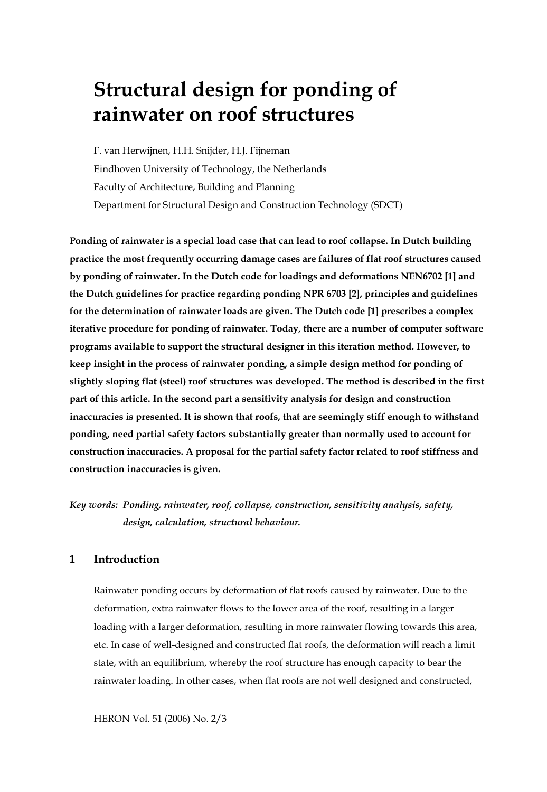# **Structural design for ponding of rainwater on roof structures**

F. van Herwijnen, H.H. Snijder, H.J. Fijneman Eindhoven University of Technology, the Netherlands Faculty of Architecture, Building and Planning Department for Structural Design and Construction Technology (SDCT)

**Ponding of rainwater is a special load case that can lead to roof collapse. In Dutch building practice the most frequently occurring damage cases are failures of flat roof structures caused by ponding of rainwater. In the Dutch code for loadings and deformations NEN6702 [1] and the Dutch guidelines for practice regarding ponding NPR 6703 [2], principles and guidelines for the determination of rainwater loads are given. The Dutch code [1] prescribes a complex iterative procedure for ponding of rainwater. Today, there are a number of computer software programs available to support the structural designer in this iteration method. However, to keep insight in the process of rainwater ponding, a simple design method for ponding of slightly sloping flat (steel) roof structures was developed. The method is described in the first part of this article. In the second part a sensitivity analysis for design and construction inaccuracies is presented. It is shown that roofs, that are seemingly stiff enough to withstand ponding, need partial safety factors substantially greater than normally used to account for construction inaccuracies. A proposal for the partial safety factor related to roof stiffness and construction inaccuracies is given.** 

*Key words: Ponding, rainwater, roof, collapse, construction, sensitivity analysis, safety, design, calculation, structural behaviour.* 

# **1 Introduction**

Rainwater ponding occurs by deformation of flat roofs caused by rainwater. Due to the deformation, extra rainwater flows to the lower area of the roof, resulting in a larger loading with a larger deformation, resulting in more rainwater flowing towards this area, etc. In case of well-designed and constructed flat roofs, the deformation will reach a limit state, with an equilibrium, whereby the roof structure has enough capacity to bear the rainwater loading. In other cases, when flat roofs are not well designed and constructed,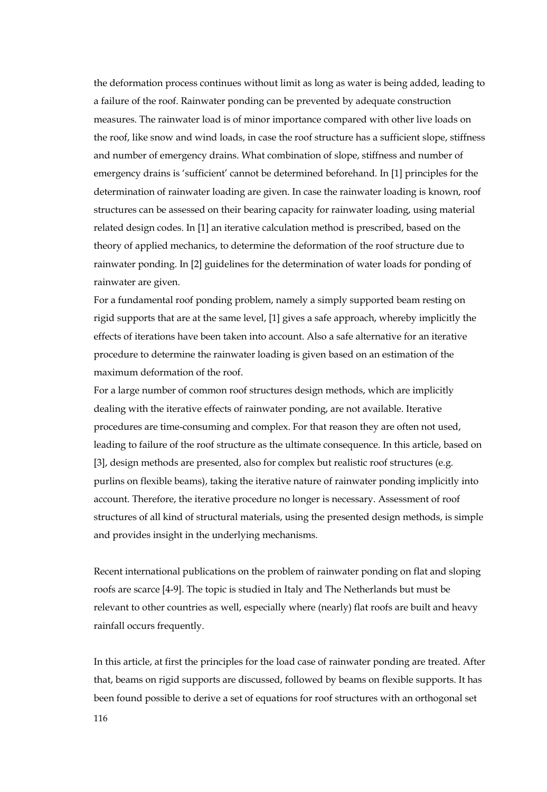the deformation process continues without limit as long as water is being added, leading to a failure of the roof. Rainwater ponding can be prevented by adequate construction measures. The rainwater load is of minor importance compared with other live loads on the roof, like snow and wind loads, in case the roof structure has a sufficient slope, stiffness and number of emergency drains. What combination of slope, stiffness and number of emergency drains is 'sufficient' cannot be determined beforehand. In [1] principles for the determination of rainwater loading are given. In case the rainwater loading is known, roof structures can be assessed on their bearing capacity for rainwater loading, using material related design codes. In [1] an iterative calculation method is prescribed, based on the theory of applied mechanics, to determine the deformation of the roof structure due to rainwater ponding. In [2] guidelines for the determination of water loads for ponding of rainwater are given.

For a fundamental roof ponding problem, namely a simply supported beam resting on rigid supports that are at the same level, [1] gives a safe approach, whereby implicitly the effects of iterations have been taken into account. Also a safe alternative for an iterative procedure to determine the rainwater loading is given based on an estimation of the maximum deformation of the roof.

For a large number of common roof structures design methods, which are implicitly dealing with the iterative effects of rainwater ponding, are not available. Iterative procedures are time-consuming and complex. For that reason they are often not used, leading to failure of the roof structure as the ultimate consequence. In this article, based on [3], design methods are presented, also for complex but realistic roof structures (e.g. purlins on flexible beams), taking the iterative nature of rainwater ponding implicitly into account. Therefore, the iterative procedure no longer is necessary. Assessment of roof structures of all kind of structural materials, using the presented design methods, is simple and provides insight in the underlying mechanisms.

Recent international publications on the problem of rainwater ponding on flat and sloping roofs are scarce [4-9]. The topic is studied in Italy and The Netherlands but must be relevant to other countries as well, especially where (nearly) flat roofs are built and heavy rainfall occurs frequently.

In this article, at first the principles for the load case of rainwater ponding are treated. After that, beams on rigid supports are discussed, followed by beams on flexible supports. It has been found possible to derive a set of equations for roof structures with an orthogonal set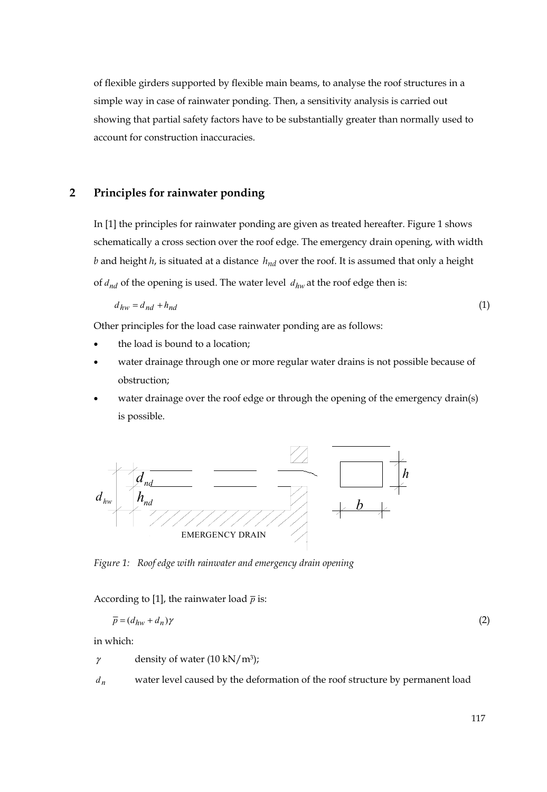of flexible girders supported by flexible main beams, to analyse the roof structures in a simple way in case of rainwater ponding. Then, a sensitivity analysis is carried out showing that partial safety factors have to be substantially greater than normally used to account for construction inaccuracies.

# **2 Principles for rainwater ponding**

In [1] the principles for rainwater ponding are given as treated hereafter. Figure 1 shows schematically a cross section over the roof edge. The emergency drain opening, with width *b* and height *h*, is situated at a distance  $h_{nd}$  over the roof. It is assumed that only a height of  $d_{nd}$  of the opening is used. The water level  $d_{hw}$  at the roof edge then is:

$$
d_{hw} = d_{nd} + h_{nd} \tag{1}
$$

Other principles for the load case rainwater ponding are as follows:

- the load is bound to a location;
- water drainage through one or more regular water drains is not possible because of obstruction;
- water drainage over the roof edge or through the opening of the emergency drain(s) is possible.



*Figure 1: Roof edge with rainwater and emergency drain opening* 

According to [1], the rainwater load  $\bar{p}$  is:

$$
\overline{p} = (d_{hw} + d_n)\gamma \tag{2}
$$

in which:

 $\gamma$  density of water (10 kN/m<sup>3</sup>);

*dn* water level caused by the deformation of the roof structure by permanent load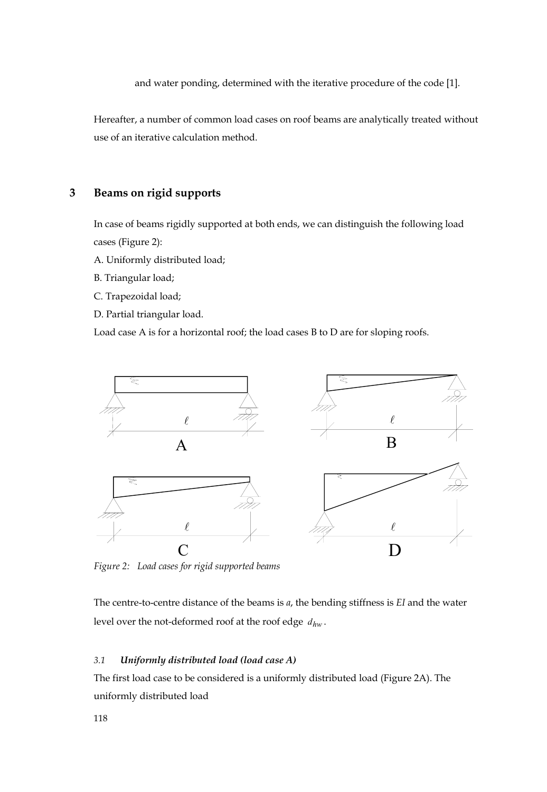and water ponding, determined with the iterative procedure of the code [1].

Hereafter, a number of common load cases on roof beams are analytically treated without use of an iterative calculation method.

# **3 Beams on rigid supports**

In case of beams rigidly supported at both ends, we can distinguish the following load cases (Figure 2):

A. Uniformly distributed load;

B. Triangular load;

C. Trapezoidal load;

D. Partial triangular load.

Load case A is for a horizontal roof; the load cases B to D are for sloping roofs.



*Figure 2: Load cases for rigid supported beams* 

The centre-to-centre distance of the beams is *a*, the bending stiffness is *EI* and the water level over the not-deformed roof at the roof edge *dhw* .

## *3.1 Uniformly distributed load (load case A)*

The first load case to be considered is a uniformly distributed load (Figure 2A). The uniformly distributed load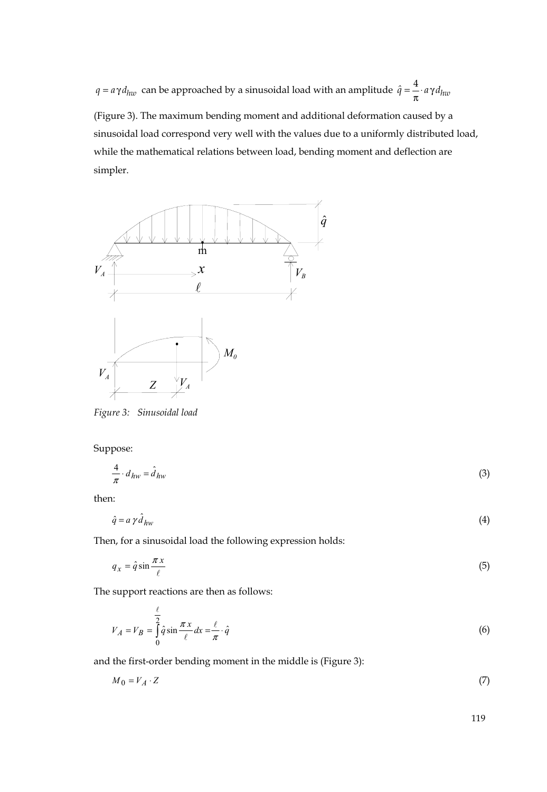$q = a\gamma d_{huv}$  can be approached by a sinusoidal load with an amplitude  $\hat{q} = \frac{4}{\pi} \cdot a\gamma d_{huv}$ 

(Figure 3). The maximum bending moment and additional deformation caused by a sinusoidal load correspond very well with the values due to a uniformly distributed load, while the mathematical relations between load, bending moment and deflection are simpler.



*Figure 3: Sinusoidal load* 

Suppose:

$$
\frac{4}{\pi} \cdot d_{hw} = \hat{d}_{hw} \tag{3}
$$

then:

$$
\hat{q} = a \gamma \hat{d}_{hw} \tag{4}
$$

Then, for a sinusoidal load the following expression holds:

$$
q_x = \hat{q} \sin \frac{\pi x}{\ell} \tag{5}
$$

The support reactions are then as follows:

$$
V_A = V_B = \int_0^{\frac{\ell}{2}} \hat{q} \sin \frac{\pi x}{\ell} dx = \frac{\ell}{\pi} \cdot \hat{q}
$$
 (6)

and the first-order bending moment in the middle is (Figure 3):

$$
M_0 = V_A \cdot Z \tag{7}
$$

119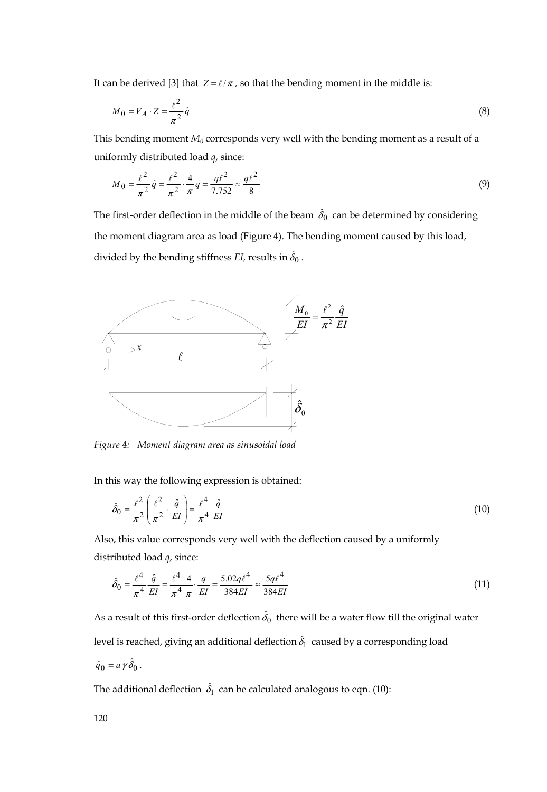It can be derived [3] that  $Z = \ell / \pi$ , so that the bending moment in the middle is:

$$
M_0 = V_A \cdot Z = \frac{\ell^2}{\pi^2} \hat{q}
$$
\n<sup>(8)</sup>

This bending moment  $M_0$  corresponds very well with the bending moment as a result of a uniformly distributed load *q*, since:

$$
M_0 = \frac{\ell^2}{\pi^2} \hat{q} = \frac{\ell^2}{\pi^2} \cdot \frac{4}{\pi} q = \frac{q\ell^2}{7.752} \approx \frac{q\ell^2}{8}
$$
(9)

The first-order deflection in the middle of the beam  $\,\hat{\delta}_{0}\,$  can be determined by considering the moment diagram area as load (Figure 4). The bending moment caused by this load, divided by the bending stiffness *EI,* results in  $\hat{\delta}_0$  .



*Figure 4: Moment diagram area as sinusoidal load* 

In this way the following expression is obtained:

$$
\hat{\delta}_0 = \frac{\ell^2}{\pi^2} \left( \frac{\ell^2}{\pi^2} \cdot \frac{\hat{q}}{EI} \right) = \frac{\ell^4}{\pi^4} \frac{\hat{q}}{EI}
$$
\n(10)

Also, this value corresponds very well with the deflection caused by a uniformly distributed load *q*, since:

$$
\hat{\delta}_0 = \frac{\ell^4}{\pi^4} \frac{\hat{q}}{EI} = \frac{\ell^4 \cdot 4}{\pi^4} \cdot \frac{q}{EI} = \frac{5.02q\ell^4}{384EI} \approx \frac{5q\ell^4}{384EI} \tag{11}
$$

As a result of this first-order deflection  $\hat{\delta}_0\,$  there will be a water flow till the original water level is reached, giving an additional deflection  $\hat{\delta}_{\rm l} \,$  caused by a corresponding load  $\hat{q}_0 = a \gamma \hat{\delta}_0$ .

The additional deflection  $\,\hat{\delta}_{\rm l}\,$  can be calculated analogous to eqn. (10):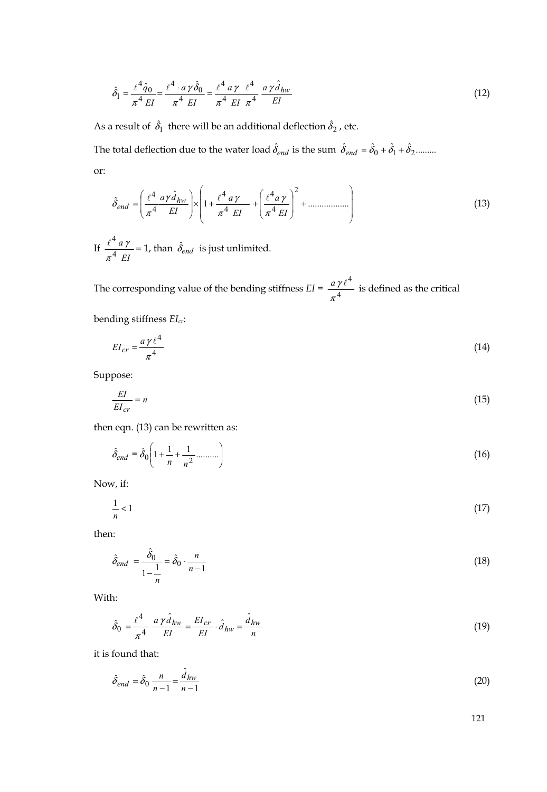$$
\hat{\delta}_1 = \frac{\ell^4 \hat{q}_0}{\pi^4 \, EI} = \frac{\ell^4 \cdot a \, \gamma \, \hat{\delta}_0}{\pi^4 \, EI} = \frac{\ell^4 \, a \, \gamma \, \ell^4}{\pi^4 \, EI \, \pi^4} \, \frac{a \, \gamma \, \hat{d}_{hw}}{EI} \tag{12}
$$

As a result of  $\,\hat{\delta}_\mathrm{l}\,$  there will be an additional deflection  $\hat{\delta}_\mathrm{2}$  , etc.

The total deflection due to the water load  $\hat{\delta}_{end}$  is the sum  $\hat{\delta}_{end} = \hat{\delta}_0 + \hat{\delta}_1 + \hat{\delta}_2$ ......... or:

$$
\hat{\delta}_{end} = \left(\frac{\ell^4}{\pi^4} \frac{a\gamma \hat{d}_{hw}}{EI}\right) \times \left(1 + \frac{\ell^4 \, a\,\gamma}{\pi^4 \, EI} + \left(\frac{\ell^4 \, a\,\gamma}{\pi^4 \, EI}\right)^2 + \dots \dots \dots \dots \dots \right) \tag{13}
$$

If  $\frac{d}{\pi^4} \frac{d}{EI} =$ *a* 4 4  $\frac{\ell^4 a \gamma}{\pi^4 EI} = 1$ , than  $\hat{\delta}_{end}$  is just unlimited.

The corresponding value of the bending stiffness  $EI = \frac{a \gamma \ell^4}{\pi^4}$  $\frac{a\gamma l^4}{\pi^4}$  is defined as the critical

bending stiffness *EIcr*:

$$
EI_{cr} = \frac{a\,\gamma\,\ell^4}{\pi^4} \tag{14}
$$

Suppose:

$$
\frac{EI}{EI_{cr}} = n \tag{15}
$$

then eqn. (13) can be rewritten as:

$$
\hat{\delta}_{end} = \hat{\delta}_0 \left( 1 + \frac{1}{n} + \frac{1}{n^2} \dots \dots \right) \tag{16}
$$

Now, if:

$$
\frac{1}{n} < 1\tag{17}
$$

then:

$$
\hat{\delta}_{end} = \frac{\hat{\delta}_0}{1 - \frac{1}{n}} = \hat{\delta}_0 \cdot \frac{n}{n - 1} \tag{18}
$$

With:

$$
\hat{\delta}_0 = \frac{\ell^4}{\pi^4} \frac{a \gamma \hat{d}_{hw}}{EI} = \frac{EI_{cr}}{EI} \cdot \hat{d}_{hw} = \frac{\hat{d}_{hw}}{n}
$$
\n(19)

it is found that:

$$
\hat{\delta}_{end} = \hat{\delta}_0 \frac{n}{n-1} = \frac{\hat{d}_{hw}}{n-1}
$$
\n(20)

121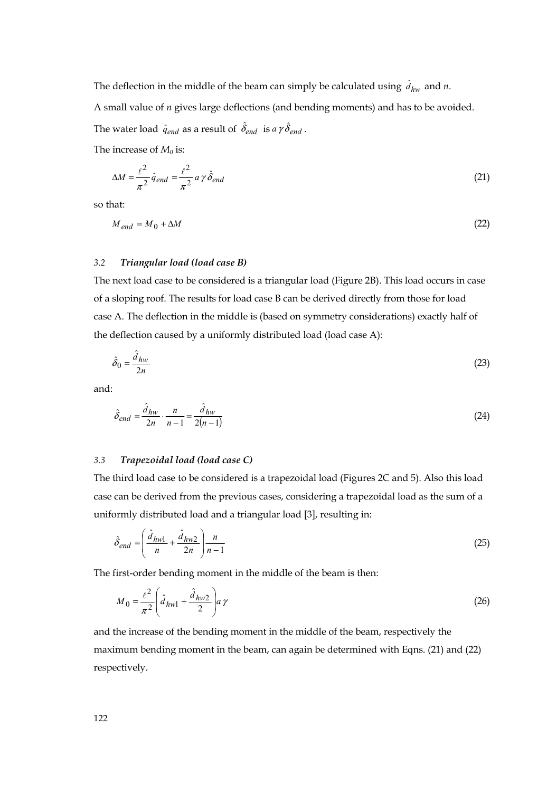The deflection in the middle of the beam can simply be calculated using  $\hat{d}_{hw}$  and  $n$ .

A small value of *n* gives large deflections (and bending moments) and has to be avoided.

The water load  $\hat{q}_{end}$  as a result of  $\hat{\delta}_{end}$  is  $a\,\gamma\,\hat{\delta}_{end}$  .

The increase of  $M_0$  is:

$$
\Delta M = \frac{\ell^2}{\pi^2} \hat{q}_{end} = \frac{\ell^2}{\pi^2} a \gamma \hat{\delta}_{end}
$$
(21)

so that:

$$
M_{end} = M_0 + \Delta M \tag{22}
$$

#### *3.2 Triangular load (load case B)*

The next load case to be considered is a triangular load (Figure 2B). This load occurs in case of a sloping roof. The results for load case B can be derived directly from those for load case A. The deflection in the middle is (based on symmetry considerations) exactly half of the deflection caused by a uniformly distributed load (load case A):

$$
\hat{\delta}_0 = \frac{\hat{d}_{hw}}{2n} \tag{23}
$$

and:

$$
\hat{\delta}_{end} = \frac{\hat{d}_{hw}}{2n} \cdot \frac{n}{n-1} = \frac{\hat{d}_{hw}}{2(n-1)}
$$
\n(24)

#### *3.3 Trapezoidal load (load case C)*

The third load case to be considered is a trapezoidal load (Figures 2C and 5). Also this load case can be derived from the previous cases, considering a trapezoidal load as the sum of a uniformly distributed load and a triangular load [3], resulting in:

$$
\hat{\delta}_{end} = \left(\frac{\hat{d}_{hw1}}{n} + \frac{\hat{d}_{hw2}}{2n}\right)\frac{n}{n-1}
$$
\n(25)

The first-order bending moment in the middle of the beam is then:

$$
M_0 = \frac{\ell^2}{\pi^2} \left( \hat{d}_{hwl} + \frac{\hat{d}_{hw2}}{2} \right) a \gamma
$$
 (26)

and the increase of the bending moment in the middle of the beam, respectively the maximum bending moment in the beam, can again be determined with Eqns. (21) and (22) respectively.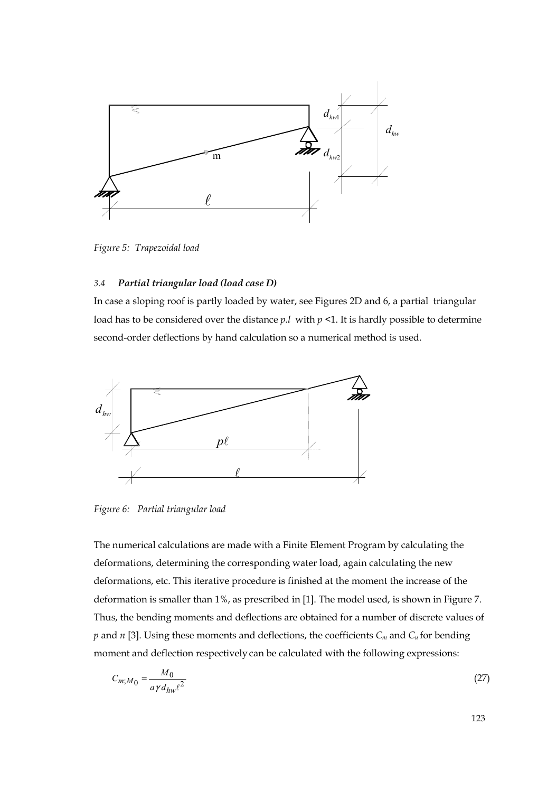

*Figure 5: Trapezoidal load* 

# *3.4 Partial triangular load (load case D)*

In case a sloping roof is partly loaded by water, see Figures 2D and 6, a partial triangular load has to be considered over the distance *p.l* with *p <*1. It is hardly possible to determine second-order deflections by hand calculation so a numerical method is used.



*Figure 6: Partial triangular load* 

The numerical calculations are made with a Finite Element Program by calculating the deformations, determining the corresponding water load, again calculating the new deformations, etc. This iterative procedure is finished at the moment the increase of the deformation is smaller than 1%, as prescribed in [1]. The model used, is shown in Figure 7. Thus, the bending moments and deflections are obtained for a number of discrete values of *p* and *n* [3]. Using these moments and deflections, the coefficients *Cm* and *Cu* for bending moment and deflection respectively can be calculated with the following expressions:

$$
C_{m;M_0} = \frac{M_0}{a\gamma d_{hw}\ell^2} \tag{27}
$$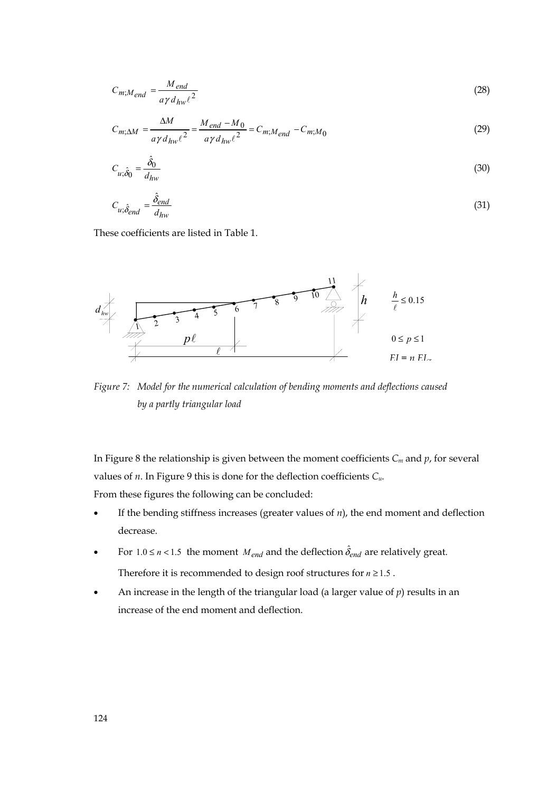$$
C_{m;M_{end}} = \frac{M_{end}}{a\gamma d_{hw}\ell^2}
$$
 (28)

$$
C_{m;\Delta M} = \frac{\Delta M}{a\gamma d_{hw}\ell^2} = \frac{M_{end} - M_0}{a\gamma d_{hw}\ell^2} = C_{m;M_{end}} - C_{m;M_0}
$$
(29)

$$
C_{u;\hat{\delta}_0} = \frac{\hat{\delta}_0}{d_{hw}}
$$
\n(30)

$$
C_{u;\hat{\delta}_{end}} = \frac{\hat{\delta}_{end}}{d_{hw}}
$$
(31)

These coefficients are listed in Table 1.



*Figure 7: Model for the numerical calculation of bending moments and deflections caused by a partly triangular load* 

In Figure 8 the relationship is given between the moment coefficients *Cm* and *p*, for several values of *n*. In Figure 9 this is done for the deflection coefficients *Cu*.

From these figures the following can be concluded:

- If the bending stiffness increases (greater values of  $n$ ), the end moment and deflection decrease.
- For  $1.0 \le n < 1.5$  the moment *M*<sub>end</sub> and the deflection  $\hat{\delta}_{end}$  are relatively great. Therefore it is recommended to design roof structures for  $n \geq 1.5$ .
- An increase in the length of the triangular load (a larger value of  $p$ ) results in an increase of the end moment and deflection.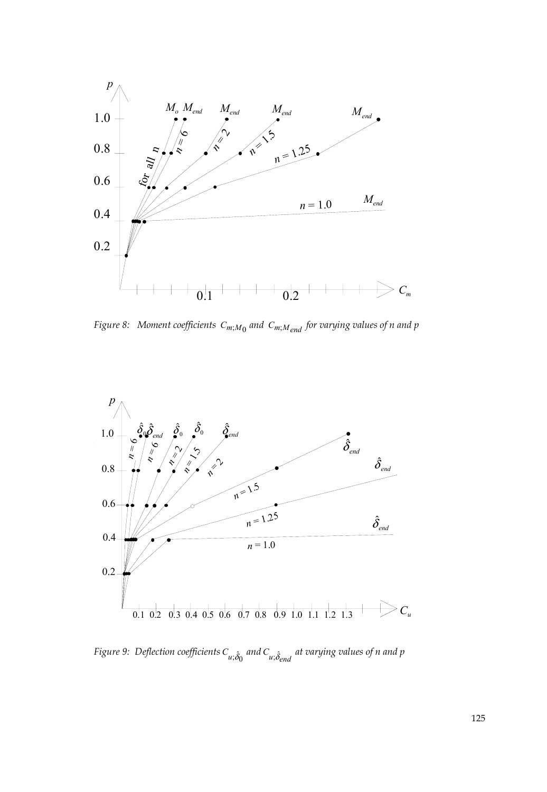

*Figure 8:* Moment coefficients  $C_{m;M_0}$  and  $C_{m;M_{end}}$  for varying values of n and p



*Figure 9: Deflection coefficients*  $C_{u, \hat{\delta}_0}$  *and*  $C_{u, \hat{\delta}_{end}}$  *at varying values of n and p*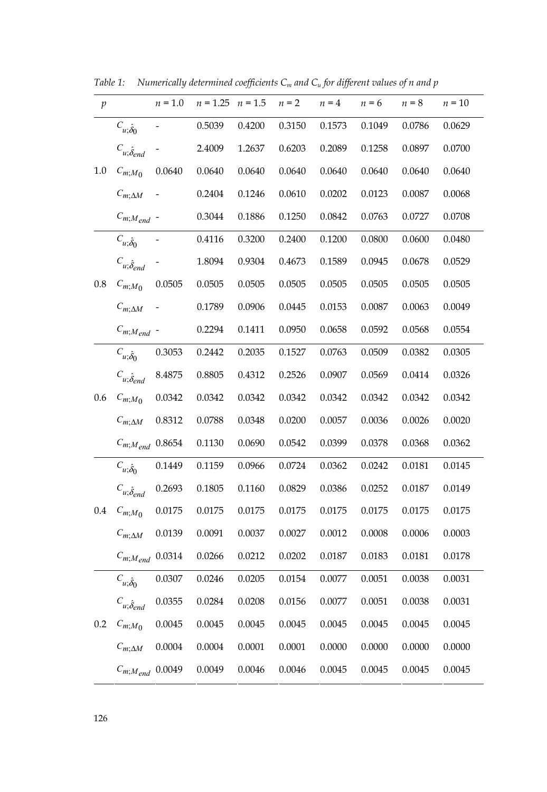| $\mathfrak{p}$ |                            | $n = 1.0$ | $n = 1.25$ | $n = 1.5$ | $n = 2$ | $n = 4$ | $n = 6$ | $n = 8$ | $n = 10$ |
|----------------|----------------------------|-----------|------------|-----------|---------|---------|---------|---------|----------|
|                | $C_{u;\hat{\delta}_0}$     |           | 0.5039     | 0.4200    | 0.3150  | 0.1573  | 0.1049  | 0.0786  | 0.0629   |
| 1.0            | $C_{u;\hat{\delta}_{end}}$ |           | 2.4009     | 1.2637    | 0.6203  | 0.2089  | 0.1258  | 0.0897  | 0.0700   |
|                | $C_{m;M}$ <sub>0</sub>     | 0.0640    | 0.0640     | 0.0640    | 0.0640  | 0.0640  | 0.0640  | 0.0640  | 0.0640   |
|                | $C_{m;\Delta M}$           |           | 0.2404     | 0.1246    | 0.0610  | 0.0202  | 0.0123  | 0.0087  | 0.0068   |
|                | $C_{m;M_{end}}$ -          |           | 0.3044     | 0.1886    | 0.1250  | 0.0842  | 0.0763  | 0.0727  | 0.0708   |
|                | $C_{u:\hat{\delta}_{0}}$   |           | 0.4116     | 0.3200    | 0.2400  | 0.1200  | 0.0800  | 0.0600  | 0.0480   |
|                | $C_{u;\hat{\delta}_{end}}$ |           | 1.8094     | 0.9304    | 0.4673  | 0.1589  | 0.0945  | 0.0678  | 0.0529   |
| 0.8            | $C_{m;M}$ <sub>0</sub>     | 0.0505    | 0.0505     | 0.0505    | 0.0505  | 0.0505  | 0.0505  | 0.0505  | 0.0505   |
|                | $C_{m;\Delta M}$           |           | 0.1789     | 0.0906    | 0.0445  | 0.0153  | 0.0087  | 0.0063  | 0.0049   |
|                | $C_{m;M_{end}}$ -          |           | 0.2294     | 0.1411    | 0.0950  | 0.0658  | 0.0592  | 0.0568  | 0.0554   |
|                | $C_{u;\hat{\delta}_0}$     | 0.3053    | 0.2442     | 0.2035    | 0.1527  | 0.0763  | 0.0509  | 0.0382  | 0.0305   |
| 0.6            | $C_{u;\hat{\delta}_{end}}$ | 8.4875    | 0.8805     | 0.4312    | 0.2526  | 0.0907  | 0.0569  | 0.0414  | 0.0326   |
|                | $C_{m;M}$ <sub>0</sub>     | 0.0342    | 0.0342     | 0.0342    | 0.0342  | 0.0342  | 0.0342  | 0.0342  | 0.0342   |
|                | $C_{m;\Delta M}$           | 0.8312    | 0.0788     | 0.0348    | 0.0200  | 0.0057  | 0.0036  | 0.0026  | 0.0020   |
|                | $C_{m;M_{end}}$ 0.8654     |           | 0.1130     | 0.0690    | 0.0542  | 0.0399  | 0.0378  | 0.0368  | 0.0362   |
| $0.4\,$        | $C_{u;\hat{\delta}_0}$     | 0.1449    | 0.1159     | 0.0966    | 0.0724  | 0.0362  | 0.0242  | 0.0181  | 0.0145   |
|                | $C_{u;\hat{\delta}_{end}}$ | 0.2693    | 0.1805     | 0.1160    | 0.0829  | 0.0386  | 0.0252  | 0.0187  | 0.0149   |
|                | $C_{m,M}$ <sub>0</sub>     | 0.0175    | 0.0175     | 0.0175    | 0.0175  | 0.0175  | 0.0175  | 0.0175  | 0.0175   |
|                | $C_{m;\Delta M}$           | 0.0139    | 0.0091     | 0.0037    | 0.0027  | 0.0012  | 0.0008  | 0.0006  | 0.0003   |
|                | $C_{m;M_{end}}$ 0.0314     |           | 0.0266     | 0.0212    | 0.0202  | 0.0187  | 0.0183  | 0.0181  | 0.0178   |
| 0.2            | $C_{u;\hat{\delta}_0}$     | 0.0307    | 0.0246     | 0.0205    | 0.0154  | 0.0077  | 0.0051  | 0.0038  | 0.0031   |
|                | $C_{u;\hat{\delta}_{end}}$ | 0.0355    | 0.0284     | 0.0208    | 0.0156  | 0.0077  | 0.0051  | 0.0038  | 0.0031   |
|                | $C_{m,M}$ <sub>0</sub>     | 0.0045    | 0.0045     | 0.0045    | 0.0045  | 0.0045  | 0.0045  | 0.0045  | 0.0045   |
|                | $C_{m;\Delta M}$           | 0.0004    | 0.0004     | 0.0001    | 0.0001  | 0.0000  | 0.0000  | 0.0000  | 0.0000   |
|                | $C_{m;M_{end}}$ 0.0049     |           | 0.0049     | 0.0046    | 0.0046  | 0.0045  | 0.0045  | 0.0045  | 0.0045   |

*Table 1:* Numerically determined coefficients  $C_m$  and  $C_u$  for different values of n and p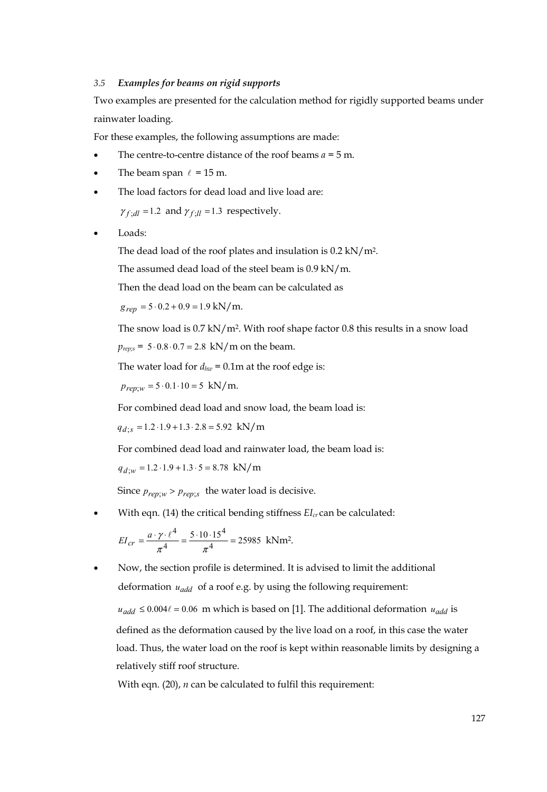#### *3.5 Examples for beams on rigid supports*

Two examples are presented for the calculation method for rigidly supported beams under rainwater loading.

For these examples, the following assumptions are made:

- The centre-to-centre distance of the roof beams *a =* 5 m.
- The beam span  $\ell = 15$  m.
- The load factors for dead load and live load are:

 $\gamma_{f}$  *i* $_{dl}$  = 1.2 and  $\gamma_{f}$  *i*<sub>l</sub> = 1.3 respectively.

• Loads:

The dead load of the roof plates and insulation is 0.2 kN/m2.

The assumed dead load of the steel beam is 0.9 kN/m.

Then the dead load on the beam can be calculated as

 $g_{ren} = 5 \cdot 0.2 + 0.9 = 1.9$  kN/m.

The snow load is 0.7 kN/m2. With roof shape factor 0.8 this results in a snow load  $p_{reps}$  = 5⋅0.8⋅0.7 = 2.8 kN/m on the beam.

The water load for  $d_{hw} = 0.1$ m at the roof edge is:

 $p_{ren;w} = 5 \cdot 0.1 \cdot 10 = 5$  kN/m.

For combined dead load and snow load, the beam load is:

 $q_{d:s} = 1.2 \cdot 1.9 + 1.3 \cdot 2.8 = 5.92$  kN/m

For combined dead load and rainwater load, the beam load is:

 $q_{d;w} = 1.2 \cdot 1.9 + 1.3 \cdot 5 = 8.78$  kN/m

Since  $p_{rep;w}$  >  $p_{rep;s}$  the water load is decisive.

• With eqn. (14) the critical bending stiffness  $EI_{cr}$  can be calculated:

$$
EI_{cr} = \frac{a \cdot \gamma \cdot \ell^4}{\pi^4} = \frac{5 \cdot 10 \cdot 15^4}{\pi^4} = 25985 \text{ kNm}^2.
$$

• Now, the section profile is determined. It is advised to limit the additional deformation *uadd* of a roof e.g. by using the following requirement:

 $u_{add}$  ≤ 0.004 $\ell$  = 0.06 m which is based on [1]. The additional deformation  $u_{add}$  is defined as the deformation caused by the live load on a roof, in this case the water load. Thus, the water load on the roof is kept within reasonable limits by designing a relatively stiff roof structure.

With eqn. (20), *n* can be calculated to fulfil this requirement: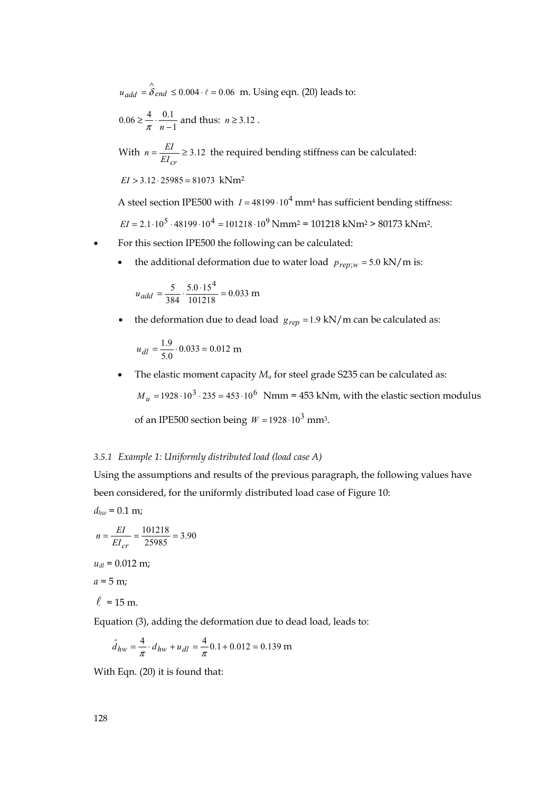$u_{add}$  =  $\hat{\delta}_{end}$  ≤ 0.004 ⋅  $\ell$  = 0.06  $\,$ m. Using eqn. (20) leads to:

$$
0.06 \ge \frac{4}{\pi} \cdot \frac{0.1}{n-1}
$$
 and thus:  $n \ge 3.12$ .

With  $n = \frac{EI}{EI_{cr}} \ge 3.12$  the required bending stiffness can be calculated:

$$
EI > 3.12 \cdot 25985 = 81073 \text{ kNm}^2
$$

A steel section IPE500 with  $I = 48199 \cdot 10^4$  mm<sup>4</sup> has sufficient bending stiffness:  $EI = 2.1 \cdot 10^5 \cdot 48199 \cdot 10^4 = 101218 \cdot 10^9$  Nmm<sup>2</sup> = 101218 kNm<sup>2</sup> > 80173 kNm<sup>2</sup>.

- For this section IPE500 the following can be calculated:
	- the additional deformation due to water load  $p_{rep;w} = 5.0 \text{ kN/m}$  is:

$$
u_{add} = \frac{5}{384} \cdot \frac{5.0 \cdot 15^4}{101218} = 0.033 \text{ m}
$$

• the deformation due to dead load  $g_{rep} = 1.9 \text{ kN/m}$  can be calculated as:

$$
u_{dl} = \frac{1.9}{5.0} \cdot 0.033 = 0.012 \text{ m}
$$

• The elastic moment capacity  $M_u$  for steel grade S235 can be calculated as:  $M_u = 1928 \cdot 10^3 \cdot 235 = 453 \cdot 10^6$  Nmm = 453 kNm, with the elastic section modulus

of an IPE500 section being  $W = 1928 \cdot 10^3$  mm<sup>3</sup>.

#### *3.5.1 Example 1: Uniformly distributed load (load case A)*

Using the assumptions and results of the previous paragraph, the following values have been considered, for the uniformly distributed load case of Figure 10:

$$
d_{hw} = 0.1 \text{ m};
$$
  
\n
$$
n = \frac{EI}{EI_{cr}} = \frac{101218}{25985} = 3.90
$$
  
\n
$$
u_{dl} = 0.012 \text{ m};
$$
  
\n
$$
a = 5 \text{ m};
$$
  
\n
$$
\ell = 15 \text{ m}.
$$

Equation (3), adding the deformation due to dead load, leads to:

$$
\hat{d}_{hw} = \frac{4}{\pi} \cdot d_{hw} + u_{dl} = \frac{4}{\pi} 0.1 + 0.012 = 0.139 \text{ m}
$$

With Eqn. (20) it is found that: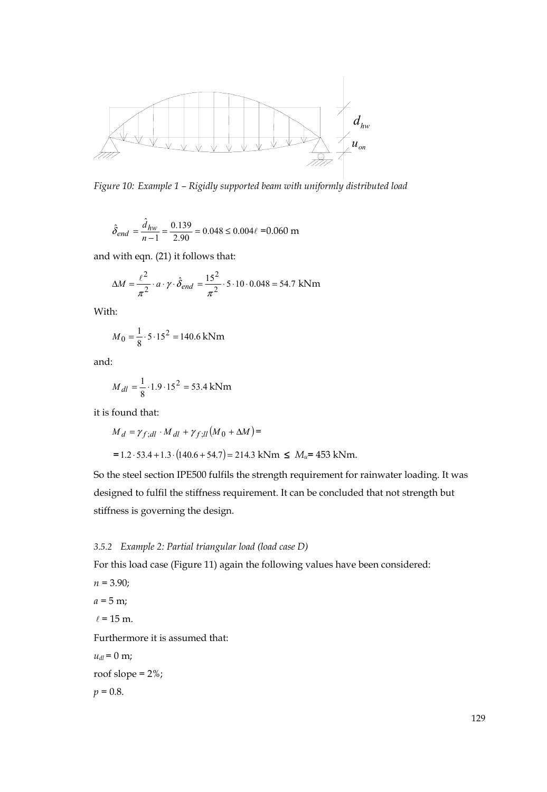

*Figure 10: Example 1 – Rigidly supported beam with uniformly distributed load* 

$$
\hat{\delta}_{end} = \frac{\hat{d}_{hw}}{n-1} = \frac{0.139}{2.90} = 0.048 \le 0.004\ell = 0.060 \text{ m}
$$

and with eqn. (21) it follows that:

$$
\Delta M = \frac{\ell^2}{\pi^2} \cdot a \cdot \gamma \cdot \hat{\delta}_{end} = \frac{15^2}{\pi^2} \cdot 5 \cdot 10 \cdot 0.048 = 54.7 \text{ kNm}
$$

With:

$$
M_0 = \frac{1}{8} \cdot 5.15^2 = 140.6 \text{ kNm}
$$

and:

$$
M_{dl} = \frac{1}{8} \cdot 1.9 \cdot 15^2 = 53.4 \text{ kNm}
$$

it is found that:

$$
M_d = \gamma_{f;dl} \cdot M_{dl} + \gamma_{f;ll} (M_0 + \Delta M) =
$$
  
= 1.2.53.4 + 1.3 \cdot (140.6 + 54.7) = 214.3 kNm ≤  $M_u$  = 453 kNm.

So the steel section IPE500 fulfils the strength requirement for rainwater loading. It was designed to fulfil the stiffness requirement. It can be concluded that not strength but stiffness is governing the design.

# *3.5.2 Example 2: Partial triangular load (load case D)*

For this load case (Figure 11) again the following values have been considered:

- *n* = 3.90;  $a = 5$  m;
- $\ell = 15$  m.

Furthermore it is assumed that:

$$
u_{dl} = 0 \text{ m};
$$
  
roof slope = 2%;  

$$
p = 0.8.
$$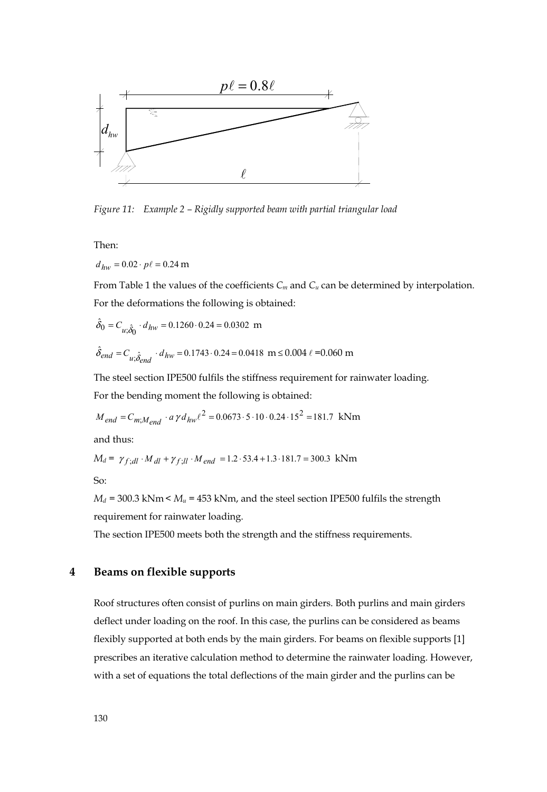

*Figure 11: Example 2 – Rigidly supported beam with partial triangular load* 

Then:

 $d_{hw} = 0.02 \cdot p\ell = 0.24 \text{ m}$ 

From Table 1 the values of the coefficients  $C_m$  and  $C_u$  can be determined by interpolation. For the deformations the following is obtained:

$$
\hat{\delta}_0 = C_{u;\hat{\delta}_0} \cdot d_{hw} = 0.1260 \cdot 0.24 = 0.0302 \text{ m}
$$

$$
\hat{\delta}_{end} = C_{u;\hat{\delta}_{end}} \cdot d_{hw} = 0.1743 \cdot 0.24 = 0.0418 \text{ m} \le 0.004 \ \ell = 0.060 \text{ m}
$$

The steel section IPE500 fulfils the stiffness requirement for rainwater loading. For the bending moment the following is obtained:

$$
M_{end} = C_{m,M_{end}} \cdot a \gamma d_{hw}l^2 = 0.0673 \cdot 5 \cdot 10 \cdot 0.24 \cdot 15^2 = 181.7 \text{ kNm}
$$

and thus:

$$
M_d = \gamma_{f;dl} \cdot M_{dl} + \gamma_{f;ll} \cdot M_{end} = 1.2 \cdot 53.4 + 1.3 \cdot 181.7 = 300.3 \text{ kNm}
$$

So:

 $M_d$  = 300.3 kNm <  $M_u$  = 453 kNm, and the steel section IPE500 fulfils the strength requirement for rainwater loading.

The section IPE500 meets both the strength and the stiffness requirements.

# **4 Beams on flexible supports**

Roof structures often consist of purlins on main girders. Both purlins and main girders deflect under loading on the roof. In this case, the purlins can be considered as beams flexibly supported at both ends by the main girders. For beams on flexible supports [1] prescribes an iterative calculation method to determine the rainwater loading. However, with a set of equations the total deflections of the main girder and the purlins can be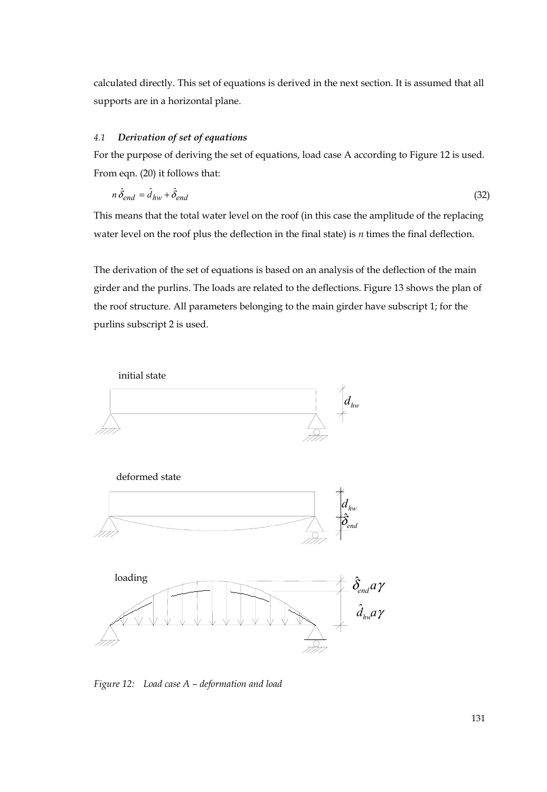calculated directly. This set of equations is derived in the next section. It is assumed that all supports are in a horizontal plane.

#### *4.1 Derivation of set of equations*

For the purpose of deriving the set of equations, load case A according to Figure 12 is used. From eqn. (20) it follows that:

$$
n\,\hat{\delta}_{end} = \hat{d}_{hw} + \hat{\delta}_{end} \tag{32}
$$

This means that the total water level on the roof (in this case the amplitude of the replacing water level on the roof plus the deflection in the final state) is *n* times the final deflection.

The derivation of the set of equations is based on an analysis of the deflection of the main girder and the purlins. The loads are related to the deflections. Figure 13 shows the plan of the roof structure. All parameters belonging to the main girder have subscript 1; for the purlins subscript 2 is used.



*Figure 12: Load case A – deformation and load*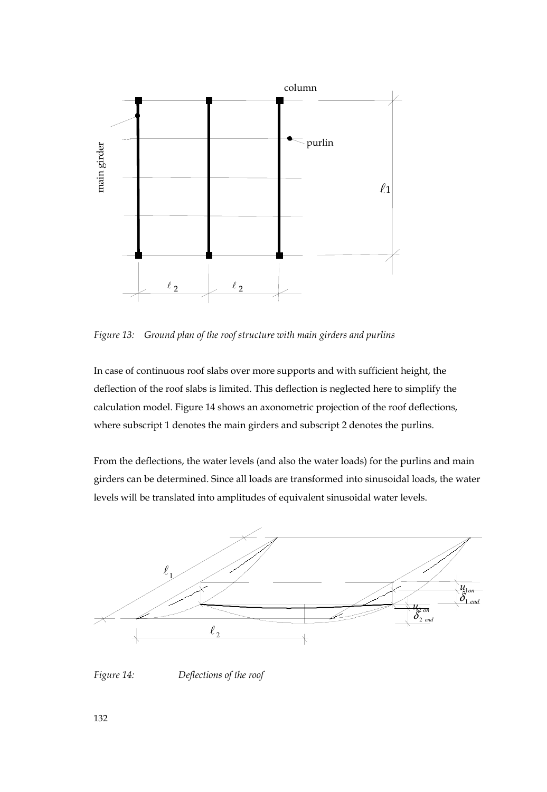

*Figure 13: Ground plan of the roof structure with main girders and purlins* 

In case of continuous roof slabs over more supports and with sufficient height, the deflection of the roof slabs is limited. This deflection is neglected here to simplify the calculation model. Figure 14 shows an axonometric projection of the roof deflections, where subscript 1 denotes the main girders and subscript 2 denotes the purlins.

From the deflections, the water levels (and also the water loads) for the purlins and main girders can be determined. Since all loads are transformed into sinusoidal loads, the water levels will be translated into amplitudes of equivalent sinusoidal water levels.

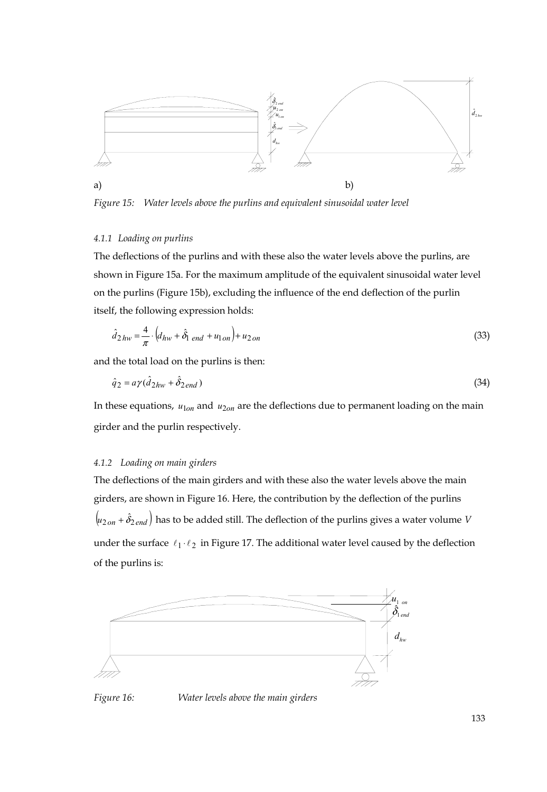

*Figure 15: Water levels above the purlins and equivalent sinusoidal water level* 

# *4.1.1 Loading on purlins*

The deflections of the purlins and with these also the water levels above the purlins, are shown in Figure 15a. For the maximum amplitude of the equivalent sinusoidal water level on the purlins (Figure 15b), excluding the influence of the end deflection of the purlin itself, the following expression holds:

$$
\hat{d}_{2hw} = \frac{4}{\pi} \cdot \left( d_{hw} + \hat{\delta}_{1\ end} + u_{1\ on} \right) + u_{2\ on} \tag{33}
$$

and the total load on the purlins is then:

$$
\hat{q}_2 = a\gamma(\hat{d}_{2hw} + \hat{\delta}_{2end})\tag{34}
$$

In these equations,  $u_{1on}$  and  $u_{2on}$  are the deflections due to permanent loading on the main girder and the purlin respectively.

#### *4.1.2 Loading on main girders*

The deflections of the main girders and with these also the water levels above the main girders, are shown in Figure 16. Here, the contribution by the deflection of the purlins  $\left( u_{2on} + \hat{\delta}_{2end} \right)$  has to be added still. The deflection of the purlins gives a water volume *V* under the surface  $\ell_1 \cdot \ell_2$  in Figure 17. The additional water level caused by the deflection of the purlins is:





*Figure 16: Water levels above the main girders*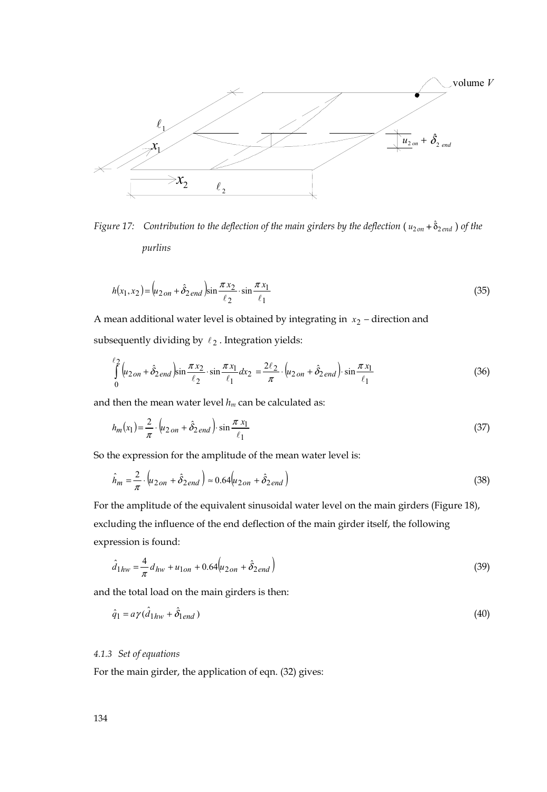

*Figure 17:* Contribution to the deflection of the main girders by the deflection  $(u_{2on} + \hat{\delta}_{2end})$  of the  *purlins* 

$$
h(x_1, x_2) = (u_{2on} + \hat{\delta}_{2end}) \sin \frac{\pi x_2}{\ell_2} \cdot \sin \frac{\pi x_1}{\ell_1}
$$
 (35)

A mean additional water level is obtained by integrating in *x*2 − direction and subsequently dividing by  $\ell_2$ . Integration yields:

$$
\int_{0}^{\ell_2} \left( u_{2on} + \hat{\delta}_{2end} \right) \sin \frac{\pi x_2}{\ell_2} \cdot \sin \frac{\pi x_1}{\ell_1} dx_2 = \frac{2\ell_2}{\pi} \cdot \left( u_{2on} + \hat{\delta}_{2end} \right) \cdot \sin \frac{\pi x_1}{\ell_1}
$$
(36)

and then the mean water level  $h_m$  can be calculated as:

$$
h_m(x_1) = \frac{2}{\pi} \cdot \left( u_{2\,on} + \hat{\delta}_{2\,end} \right) \cdot \sin \frac{\pi x_1}{\ell_1}
$$
 (37)

So the expression for the amplitude of the mean water level is:

$$
\hat{h}_m = \frac{2}{\pi} \cdot \left( u_{2on} + \hat{\delta}_{2end} \right) \approx 0.64 \left( u_{2on} + \hat{\delta}_{2end} \right) \tag{38}
$$

For the amplitude of the equivalent sinusoidal water level on the main girders (Figure 18), excluding the influence of the end deflection of the main girder itself, the following expression is found:

$$
\hat{d}_{1hw} = \frac{4}{\pi} d_{hw} + u_{1on} + 0.64 \left( u_{2on} + \hat{\delta}_{2end} \right)
$$
\n(39)

and the total load on the main girders is then:

$$
\hat{q}_1 = a\gamma(\hat{d}_{1hw} + \hat{\delta}_{1end})\tag{40}
$$

## *4.1.3 Set of equations*

For the main girder, the application of eqn. (32) gives: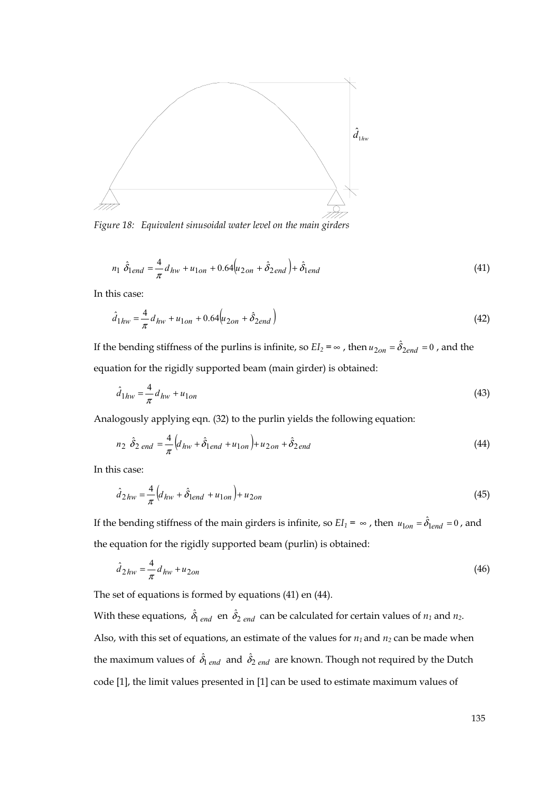

*Figure 18: Equivalent sinusoidal water level on the main girders* 

$$
n_1 \hat{\delta}_{1end} = \frac{4}{\pi} d_{hw} + u_{1on} + 0.64 \left( u_{2on} + \hat{\delta}_{2end} \right) + \hat{\delta}_{1end}
$$
(41)

In this case:

$$
\hat{d}_{1hw} = \frac{4}{\pi} d_{hw} + u_{1on} + 0.64 \left( u_{2on} + \hat{\delta}_{2end} \right)
$$
\n(42)

If the bending stiffness of the purlins is infinite, so  $EI_2 = \infty$ , then  $u_{2on} = \hat{\delta}_{2end} = 0$ , and the equation for the rigidly supported beam (main girder) is obtained:

$$
\hat{d}_{1hw} = \frac{4}{\pi} d_{hw} + u_{1on} \tag{43}
$$

Analogously applying eqn. (32) to the purlin yields the following equation:

$$
n_2 \hat{\delta}_{2\text{ end}} = \frac{4}{\pi} \Big( d_{hw} + \hat{\delta}_{1\text{ end}} + u_{1\text{ on}} \Big) + u_{2\text{ on}} + \hat{\delta}_{2\text{ end}}
$$
(44)

In this case:

$$
\hat{d}_{2hw} = \frac{4}{\pi} \left( d_{hw} + \hat{\delta}_{1end} + u_{1on} \right) + u_{2on}
$$
\n(45)

If the bending stiffness of the main girders is infinite, so  $EI_1 = \infty$ , then  $u_{1on} = \hat{\delta}_{lend} = 0$ , and the equation for the rigidly supported beam (purlin) is obtained:

$$
\hat{d}_{2hw} = \frac{4}{\pi} d_{hw} + u_{2on} \tag{46}
$$

The set of equations is formed by equations (41) en (44).

With these equations,  $\hat{\delta}_{1 \text{ end }}$  en  $\hat{\delta}_{2 \text{ end }}$  can be calculated for certain values of  $n_1$  and  $n_2$ . Also, with this set of equations, an estimate of the values for  $n_1$  and  $n_2$  can be made when the maximum values of  $\hat{\delta}_{\rm l\ end}$  and  $\hat{\delta}_{\rm 2\ end}$  are known. Though not required by the Dutch code [1], the limit values presented in [1] can be used to estimate maximum values of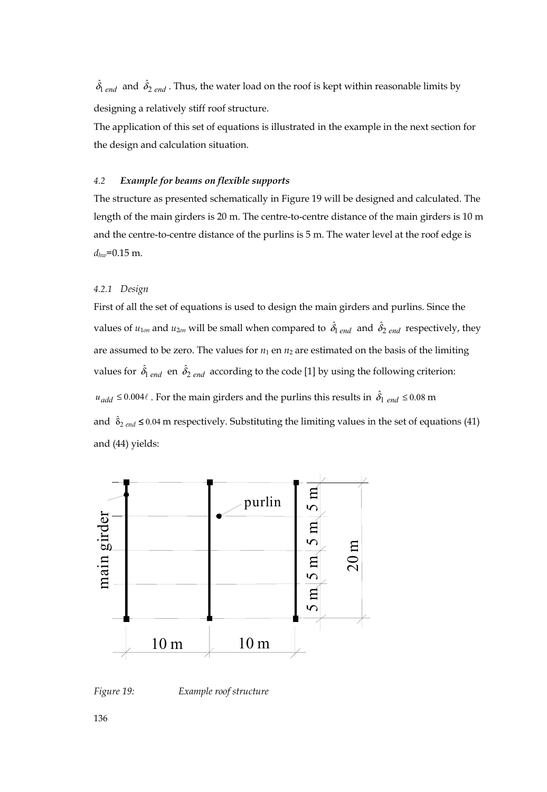$\hat{\delta}_{1 \text{ end }}^{\dagger}$  and  $\hat{\delta}_{2 \text{ end }}^{\dagger}$ . Thus, the water load on the roof is kept within reasonable limits by designing a relatively stiff roof structure.

The application of this set of equations is illustrated in the example in the next section for the design and calculation situation.

#### *4.2 Example for beams on flexible supports*

The structure as presented schematically in Figure 19 will be designed and calculated. The length of the main girders is 20 m. The centre-to-centre distance of the main girders is 10 m and the centre-to-centre distance of the purlins is 5 m. The water level at the roof edge is *dhw*=0.15 m.

#### *4.2.1 Design*

First of all the set of equations is used to design the main girders and purlins. Since the values of  $u_{1on}$  and  $u_{2on}$  will be small when compared to  $\hat{\delta_1}_{end}$  and  $\hat{\delta_2}_{end}$  respectively, they are assumed to be zero. The values for  $n_1$  en  $n_2$  are estimated on the basis of the limiting values for  $\hat{\delta}_{\text{l end}}$  en  $\hat{\delta}_{\text{2 end}}$  according to the code [1] by using the following criterion:  $u_{add} \le 0.004\ell$  . For the main girders and the purlins this results in  $\hat{\delta_1}$  <sub>end</sub>  $\le 0.08$  m and  $\delta_{2 \text{ end}} \leq 0.04$  m respectively. Substituting the limiting values in the set of equations (41) and (44) yields:



*Figure 19: Example roof structure* 

136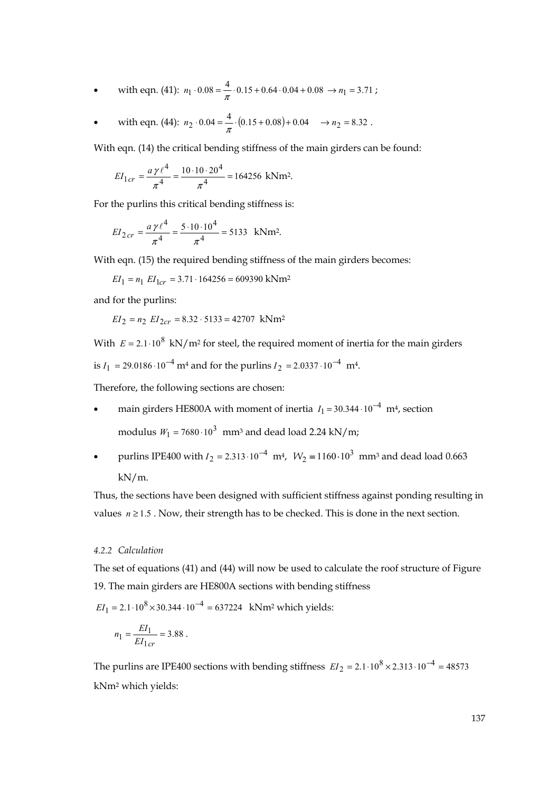with eqn. (41): 
$$
n_1 \cdot 0.08 = \frac{4}{\pi} \cdot 0.15 + 0.64 \cdot 0.04 + 0.08 \rightarrow n_1 = 3.71
$$
;

with eqn. (44):  $n_2 \cdot 0.04 = \frac{4}{\pi} \cdot (0.15 + 0.08) + 0.04 \rightarrow n_2 = 8.32$ .

With eqn. (14) the critical bending stiffness of the main girders can be found:

$$
EI_{1cr} = \frac{a\,\gamma\,\ell^4}{\pi^4} = \frac{10 \cdot 10 \cdot 20^4}{\pi^4} = 164256 \text{ kNm}^2.
$$

For the purlins this critical bending stiffness is:

$$
EI_{2\,cr} = \frac{a\,\gamma\,\ell^4}{\pi^4} = \frac{5 \cdot 10 \cdot 10^4}{\pi^4} = 5133 \text{ kNm}^2.
$$

With eqn. (15) the required bending stiffness of the main girders becomes:

 $EI_1 = n_1$   $EI_{1cr} = 3.71 \cdot 164256 = 609390$  kNm<sup>2</sup>

and for the purlins:

$$
EI_2 = n_2 EI_{2cr} = 8.32 \cdot 5133 = 42707 \text{ kNm}^2
$$

With  $E = 2.1 \cdot 10^8$  kN/m<sup>2</sup> for steel, the required moment of inertia for the main girders is  $I_1 = 29.0186 \cdot 10^{-4}$  m<sup>4</sup> and for the purlins  $I_2 = 2.0337 \cdot 10^{-4}$  m<sup>4</sup>.

Therefore, the following sections are chosen:

- main girders HE800A with moment of inertia  $I_1 = 30.344 \cdot 10^{-4}$  m<sup>4</sup>, section modulus  $W_1 = 7680 \cdot 10^3$  mm<sup>3</sup> and dead load 2.24 kN/m;
- purlins IPE400 with  $I_2 = 2.313 \cdot 10^{-4}$  m<sup>4</sup>,  $W_2 = 1160 \cdot 10^3$  mm<sup>3</sup> and dead load 0.663 kN/m.

Thus, the sections have been designed with sufficient stiffness against ponding resulting in values  $n \ge 1.5$ . Now, their strength has to be checked. This is done in the next section.

#### *4.2.2 Calculation*

The set of equations (41) and (44) will now be used to calculate the roof structure of Figure 19. The main girders are HE800A sections with bending stiffness

 $EI_1 = 2.1 \cdot 10^8 \times 30.344 \cdot 10^{-4} = 637224$  kNm<sup>2</sup> which yields:

$$
n_1 = \frac{EI_1}{EI_{1cr}} = 3.88.
$$

The purlins are IPE400 sections with bending stiffness  $EI_2 = 2.1 \cdot 10^8 \times 2.313 \cdot 10^{-4} = 48573$ kNm2 which yields: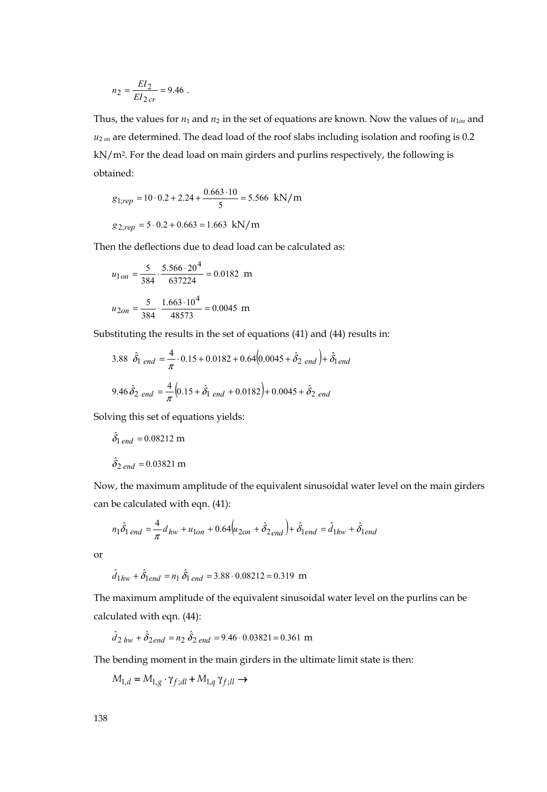$$
n_2 = \frac{EI_2}{EI_{2cr}} = 9.46 \; .
$$

Thus, the values for  $n_1$  and  $n_2$  in the set of equations are known. Now the values of  $u_{10n}$  and  $u_{2 \text{ on }}$  are determined. The dead load of the roof slabs including isolation and roofing is 0.2 kN/m2. For the dead load on main girders and purlins respectively, the following is obtained:

$$
g_{1;rep} = 10 \cdot 0.2 + 2.24 + \frac{0.663 \cdot 10}{5} = 5.566 \text{ kN/m}
$$
  
 $g_{2;rep} = 5 \cdot 0.2 + 0.663 = 1.663 \text{ kN/m}$ 

Then the deflections due to dead load can be calculated as:

$$
u_{1on} = \frac{5}{384} \cdot \frac{5.566 \cdot 20^4}{637224} = 0.0182 \text{ m}
$$

$$
u_{2on} = \frac{5}{384} \cdot \frac{1.663 \cdot 10^4}{48573} = 0.0045 \text{ m}
$$

Substituting the results in the set of equations (41) and (44) results in:

$$
3.88 \hat{\delta}_{1 \text{ end}} = \frac{4}{\pi} \cdot 0.15 + 0.0182 + 0.64(0.0045 + \hat{\delta}_{2 \text{ end}}) + \hat{\delta}_{1 \text{ end}}
$$

$$
9.46 \hat{\delta}_{2 \text{ end}} = \frac{4}{\pi} \Big( 0.15 + \hat{\delta}_{1 \text{ end}} + 0.0182 \Big) + 0.0045 + \hat{\delta}_{2 \text{ end}}
$$

Solving this set of equations yields:

$$
\hat{\delta}_{1 \text{ end}} = 0.08212 \text{ m}
$$

$$
\hat{\delta}_{2 \text{ end}} = 0.03821 \text{ m}
$$

Now, the maximum amplitude of the equivalent sinusoidal water level on the main girders can be calculated with eqn. (41):

$$
n_1 \hat{\delta}_{1\, end} = \frac{4}{\pi} d_{hw} + u_{1on} + 0.64 \Big( u_{2on} + \hat{\delta}_{2\, end} \Big) + \hat{\delta}_{1\, end} = \hat{d}_{1hw} + \hat{\delta}_{1\, end}
$$

or

$$
\hat{d}_{1hw} + \hat{\delta}_{1end} = n_1 \hat{\delta}_{1 end} = 3.88 \cdot 0.08212 = 0.319 \text{ m}
$$

The maximum amplitude of the equivalent sinusoidal water level on the purlins can be calculated with eqn. (44):

$$
\hat{d}_{2 \text{hw}} + \hat{\delta}_{2 \text{end}} = n_2 \hat{\delta}_{2 \text{end}} = 9.46 \cdot 0.03821 = 0.361 \text{ m}
$$

The bending moment in the main girders in the ultimate limit state is then:

$$
M_{1,d} = M_{1,g} \cdot \gamma_{f;dl} + M_{1,q} \gamma_{f;ll} \rightarrow
$$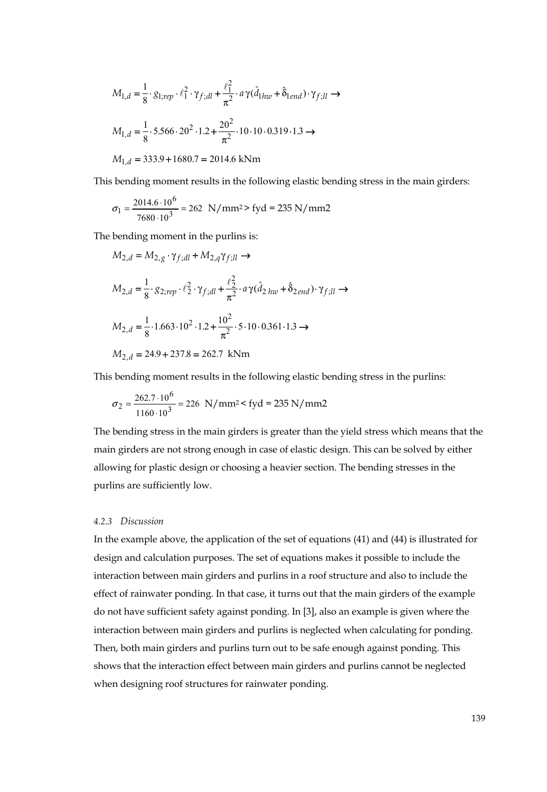$$
M_{1,d} = \frac{1}{8} \cdot g_{1;rep} \cdot \ell_1^2 \cdot \gamma_{f;dl} + \frac{\ell_1^2}{\pi^2} \cdot a \gamma (\hat{d}_{1hw} + \hat{\delta}_{1end}) \cdot \gamma_{f;ll} \rightarrow
$$
  
\n
$$
M_{1,d} = \frac{1}{8} \cdot 5.566 \cdot 20^2 \cdot 1.2 + \frac{20^2}{\pi^2} \cdot 10 \cdot 10 \cdot 0.319 \cdot 1.3 \rightarrow
$$
  
\n
$$
M_{1,d} = 333.9 + 1680.7 = 2014.6 \text{ kNm}
$$

This bending moment results in the following elastic bending stress in the main girders:

$$
\sigma_1 = \frac{2014.6 \cdot 10^6}{7680 \cdot 10^3} = 262 \text{ N/mm}^2 > \text{fyd} = 235 \text{ N/mm2}
$$

The bending moment in the purlins is:

$$
M_{2,d} = M_{2,g} \cdot \gamma_{f;dl} + M_{2,q} \gamma_{f;ll} \rightarrow
$$
  
\n
$$
M_{2,d} = \frac{1}{8} \cdot 8_{2;rep} \cdot \ell_2^2 \cdot \gamma_{f;dl} + \frac{\ell_2^2}{\pi^2} \cdot a \gamma (\hat{d}_{2 \text{ }hw} + \hat{\delta}_{2 \text{ }end}) \cdot \gamma_{f;ll} \rightarrow
$$
  
\n
$$
M_{2,d} = \frac{1}{8} \cdot 1.663 \cdot 10^2 \cdot 1.2 + \frac{10^2}{\pi^2} \cdot 5 \cdot 10 \cdot 0.361 \cdot 1.3 \rightarrow
$$
  
\n
$$
M_{2,d} = 24.9 + 237.8 = 262.7 \text{ kNm}
$$

This bending moment results in the following elastic bending stress in the purlins:

$$
\sigma_2 = \frac{262.7 \cdot 10^6}{1160 \cdot 10^3} = 226 \text{ N/mm}^2 < \text{fyd} = 235 \text{ N/mm2}
$$

The bending stress in the main girders is greater than the yield stress which means that the main girders are not strong enough in case of elastic design. This can be solved by either allowing for plastic design or choosing a heavier section. The bending stresses in the purlins are sufficiently low.

#### *4.2.3 Discussion*

In the example above, the application of the set of equations (41) and (44) is illustrated for design and calculation purposes. The set of equations makes it possible to include the interaction between main girders and purlins in a roof structure and also to include the effect of rainwater ponding. In that case, it turns out that the main girders of the example do not have sufficient safety against ponding. In [3], also an example is given where the interaction between main girders and purlins is neglected when calculating for ponding. Then, both main girders and purlins turn out to be safe enough against ponding. This shows that the interaction effect between main girders and purlins cannot be neglected when designing roof structures for rainwater ponding.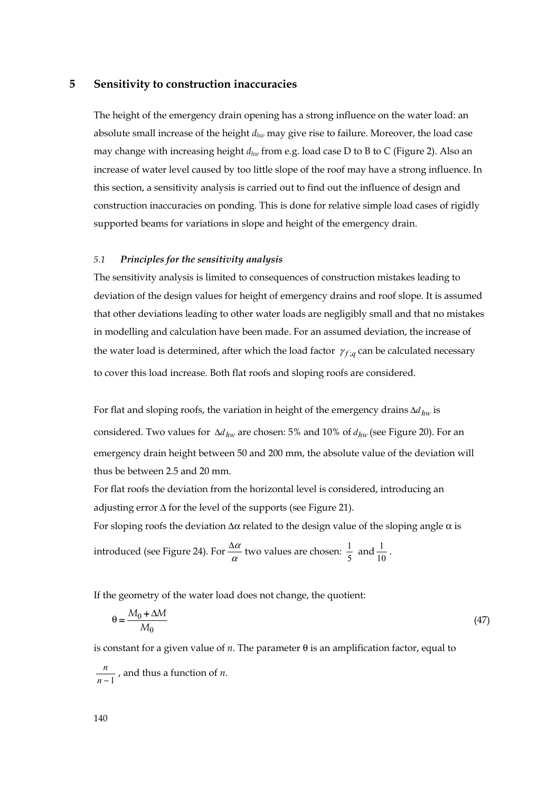## **5 Sensitivity to construction inaccuracies**

The height of the emergency drain opening has a strong influence on the water load: an absolute small increase of the height *dhw* may give rise to failure. Moreover, the load case may change with increasing height *dhw* from e.g. load case D to B to C (Figure 2). Also an increase of water level caused by too little slope of the roof may have a strong influence. In this section, a sensitivity analysis is carried out to find out the influence of design and construction inaccuracies on ponding. This is done for relative simple load cases of rigidly supported beams for variations in slope and height of the emergency drain.

#### *5.1 Principles for the sensitivity analysis*

The sensitivity analysis is limited to consequences of construction mistakes leading to deviation of the design values for height of emergency drains and roof slope. It is assumed that other deviations leading to other water loads are negligibly small and that no mistakes in modelling and calculation have been made. For an assumed deviation, the increase of the water load is determined, after which the load factor  $\gamma_{f,g}$  can be calculated necessary to cover this load increase. Both flat roofs and sloping roofs are considered.

For flat and sloping roofs, the variation in height of the emergency drains Δ*dhw* is considered. Two values for Δ*dhw* are chosen: 5% and 10% of *dhw* (see Figure 20). For an emergency drain height between 50 and 200 mm, the absolute value of the deviation will thus be between 2.5 and 20 mm.

For flat roofs the deviation from the horizontal level is considered, introducing an adjusting error Δ for the level of the supports (see Figure 21).

For sloping roofs the deviation  $\Delta \alpha$  related to the design value of the sloping angle  $\alpha$  is

introduced (see Figure 24). For 
$$
\frac{\Delta \alpha}{\alpha}
$$
 two values are chosen:  $\frac{1}{5}$  and  $\frac{1}{10}$ .

If the geometry of the water load does not change, the quotient:

$$
\theta = \frac{M_0 + \Delta M}{M_0} \tag{47}
$$

is constant for a given value of  $n$ . The parameter  $\theta$  is an amplification factor, equal to

 $\frac{n}{n-1}$ , and thus a function of *n*.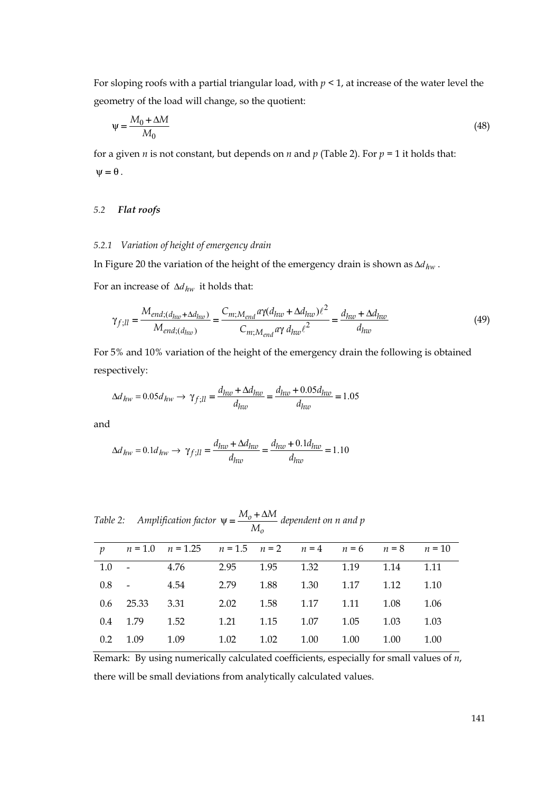For sloping roofs with a partial triangular load, with *p* < 1, at increase of the water level the geometry of the load will change, so the quotient:

$$
\Psi = \frac{M_0 + \Delta M}{M_0} \tag{48}
$$

for a given *n* is not constant, but depends on *n* and *p* (Table 2). For  $p = 1$  it holds that:  $\Psi = \theta$ .

# *5.2 Flat roofs*

# *5.2.1 Variation of height of emergency drain*

In Figure 20 the variation of the height of the emergency drain is shown as Δ*dhw* .

For an increase of Δ*dhw* it holds that:

$$
\gamma_{f;ll} = \frac{M_{end;(d_{hw} + \Delta d_{hw})}}{M_{end;(d_{hw})}} = \frac{C_{m;M_{end}} a\gamma(d_{hw} + \Delta d_{hw})\ell^2}{C_{m;M_{end}} a\gamma(d_{hw}\ell^2}} = \frac{d_{hw} + \Delta d_{hw}}{d_{hw}}
$$
(49)

For 5% and 10% variation of the height of the emergency drain the following is obtained respectively:

$$
\Delta d_{hw} = 0.05 d_{hw} \rightarrow \gamma_{f;ll} = \frac{d_{hw} + \Delta d_{hw}}{d_{hw}} = \frac{d_{hw} + 0.05 d_{hw}}{d_{hw}} = 1.05
$$

and

$$
\Delta d_{hw} = 0.1 d_{hw} \rightarrow \gamma_{f;ll} = \frac{d_{hw} + \Delta d_{hw}}{d_{hw}} = \frac{d_{hw} + 0.1 d_{hw}}{d_{hw}} = 1.10
$$

|  |  |  | . wie 2: Amplification factor $\psi = \frac{M_0 + \Delta W_1}{M_0}$ dependent on n and |
|--|--|--|----------------------------------------------------------------------------------------|
|--|--|--|----------------------------------------------------------------------------------------|

|  | p $n = 1.0$ $n = 1.25$ $n = 1.5$ $n = 2$ $n = 4$ $n = 6$ $n = 8$ $n = 10$ |  |  |      |
|--|---------------------------------------------------------------------------|--|--|------|
|  | 1.0 - 4.76 2.95 1.95 1.32 1.19 1.14 1.11                                  |  |  |      |
|  | 0.8 - 4.54 2.79 1.88 1.30 1.17 1.12 1.10                                  |  |  |      |
|  | 0.6 25.33 3.31 2.02 1.58 1.17 1.11 1.08 1.06                              |  |  |      |
|  | 0.4 1.79 1.52 1.21 1.15 1.07 1.05 1.03                                    |  |  | 1.03 |
|  | 0.2 1.09 1.09 1.02 1.02 1.00 1.00 1.00 1.00                               |  |  |      |

Remark: By using numerically calculated coefficients, especially for small values of *n*, there will be small deviations from analytically calculated values.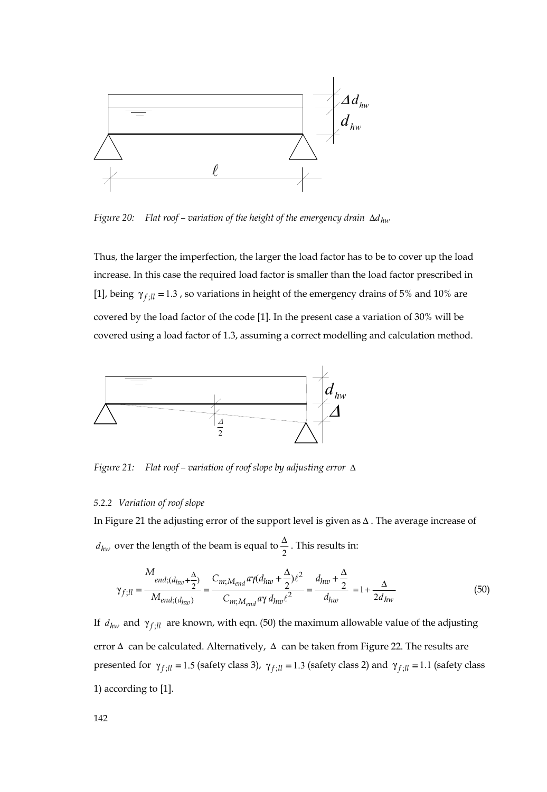

*Figure 20: Flat roof – variation of the height of the emergency drain* Δ*dhw*

Thus, the larger the imperfection, the larger the load factor has to be to cover up the load increase. In this case the required load factor is smaller than the load factor prescribed in [1], being  $\gamma_{f,ll} = 1.3$ , so variations in height of the emergency drains of 5% and 10% are covered by the load factor of the code [1]. In the present case a variation of 30% will be covered using a load factor of 1.3, assuming a correct modelling and calculation method.



*Figure 21: Flat roof – variation of roof slope by adjusting error* Δ

#### *5.2.2 Variation of roof slope*

In Figure 21 the adjusting error of the support level is given as Δ . The average increase of  $d_{hw}$  over the length of the beam is equal to  $\frac{\Delta}{2}$ . This results in:

$$
\gamma_{f;ll} = \frac{M_{end;(d_{hw} + \frac{\Delta}{2})}{M_{end;(d_{hw})}} = \frac{C_{m;M_{end}} a \gamma (d_{hw} + \frac{\Delta}{2}) \ell^2}{C_{m;M_{end}} a \gamma d_{hw} \ell^2} = \frac{d_{hw} + \frac{\Delta}{2}}{d_{hw}} = 1 + \frac{\Delta}{2d_{hw}}
$$
(50)

If  $d_{hw}$  and  $\gamma_{f;ll}$  are known, with eqn. (50) the maximum allowable value of the adjusting error  $\Delta$  can be calculated. Alternatively,  $\Delta$  can be taken from Figure 22. The results are presented for  $\gamma_{f,ll} = 1.5$  (safety class 3),  $\gamma_{f,ll} = 1.3$  (safety class 2) and  $\gamma_{f,ll} = 1.1$  (safety class 1) according to [1].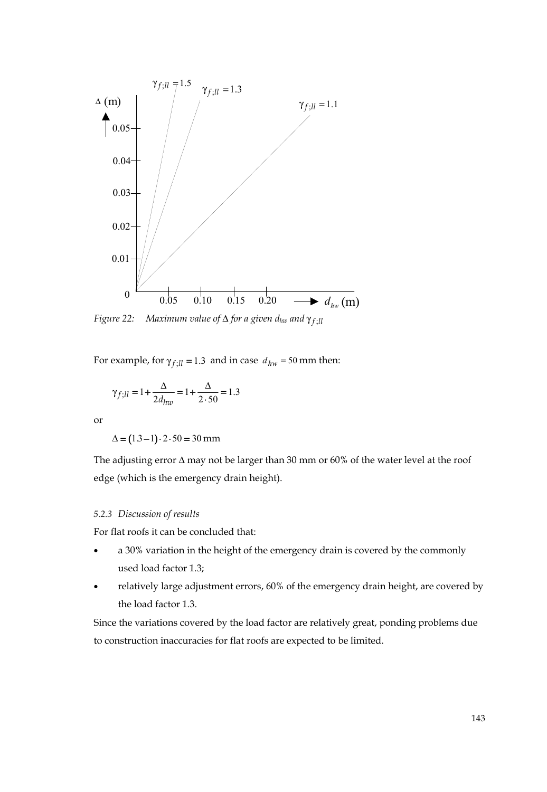

*Figure 22: Maximum value of* Δ *for a given dhw and <sup>f</sup>* ;*ll* γ

For example, for  $\gamma_{f;ll} = 1.3$  and in case  $d_{hw} = 50$  mm then:

$$
\gamma_{f;ll} = 1 + \frac{\Delta}{2d_{hw}} = 1 + \frac{\Delta}{2 \cdot 50} = 1.3
$$

or

 $\Delta = (1.3 - 1) \cdot 2 \cdot 50 = 30$  mm

The adjusting error  $\Delta$  may not be larger than 30 mm or 60% of the water level at the roof edge (which is the emergency drain height).

# *5.2.3 Discussion of results*

For flat roofs it can be concluded that:

- a 30% variation in the height of the emergency drain is covered by the commonly used load factor 1.3;
- relatively large adjustment errors, 60% of the emergency drain height, are covered by the load factor 1.3.

Since the variations covered by the load factor are relatively great, ponding problems due to construction inaccuracies for flat roofs are expected to be limited.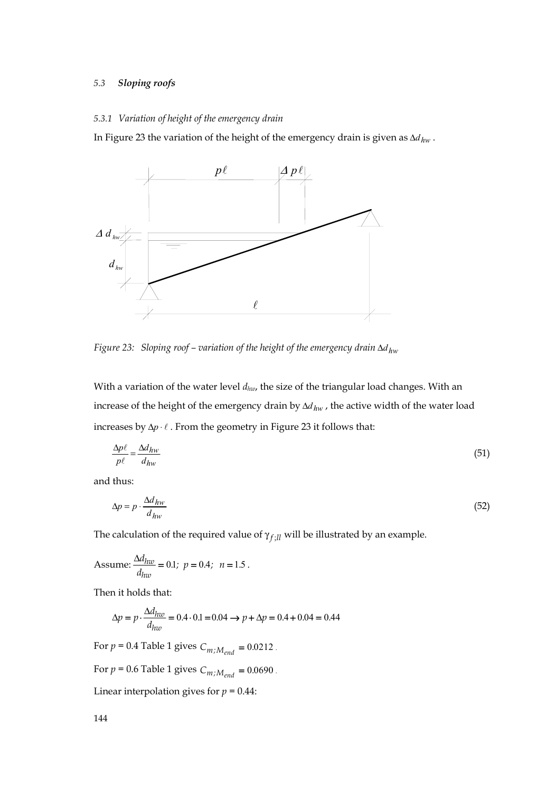# *5.3 Sloping roofs*

## *5.3.1 Variation of height of the emergency drain*

In Figure 23 the variation of the height of the emergency drain is given as  $\Delta d_{hw}$ .



*Figure 23: Sloping roof – variation of the height of the emergency drain* Δ*dhw*

With a variation of the water level  $d_{hw}$ , the size of the triangular load changes. With an increase of the height of the emergency drain by Δd<sub>hw</sub>, the active width of the water load increases by  $\Delta p \cdot \ell$ . From the geometry in Figure 23 it follows that:

$$
\frac{\Delta p\ell}{p\ell} = \frac{\Delta d_{hw}}{d_{hw}}\tag{51}
$$

and thus:

$$
\Delta p = p \cdot \frac{\Delta d_{hw}}{d_{hw}} \tag{52}
$$

The calculation of the required value of  $\gamma_{f;ll}$  will be illustrated by an example.

Assume: 
$$
\frac{\Delta d_{hw}}{d_{hw}} = 0.1
$$
;  $p = 0.4$ ;  $n = 1.5$ .

Then it holds that:

$$
\Delta p = p \cdot \frac{\Delta d_{huv}}{d_{huv}} = 0.4 \cdot 0.1 = 0.04 \rightarrow p + \Delta p = 0.4 + 0.04 = 0.44
$$

For  $p = 0.4$  Table 1 gives  $C_{m;M_{end}} = 0.0212$ .

For  $p = 0.6$  Table 1 gives  $C_{m;M_{end}} = 0.0690$ .

Linear interpolation gives for  $p = 0.44$ :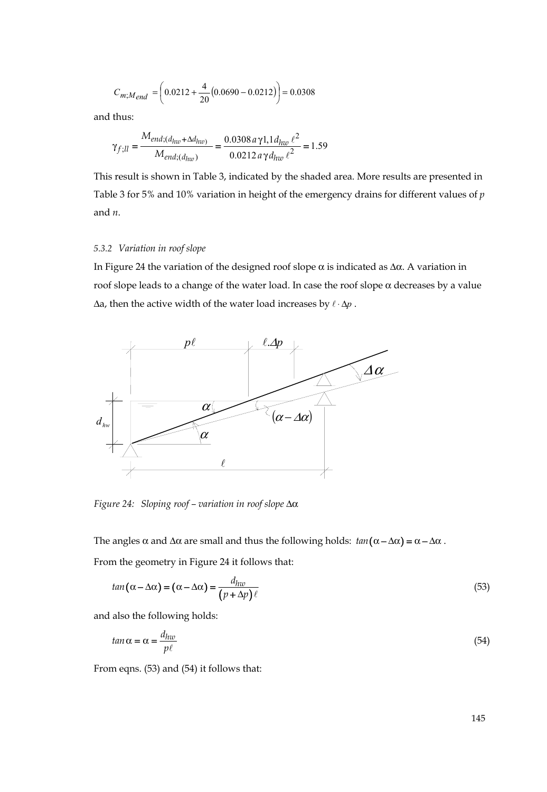$$
C_{m;M_{end}} = \left(0.0212 + \frac{4}{20}(0.0690 - 0.0212)\right) = 0.0308
$$

and thus:

$$
\gamma_{f;ll} = \frac{M_{end;(d_{hw} + \Delta d_{hw})}}{M_{end;(d_{hw})}} = \frac{0.0308 a \gamma 1.1 d_{hw} \ell^2}{0.0212 a \gamma d_{hw} \ell^2} = 1.59
$$

This result is shown in Table 3, indicated by the shaded area. More results are presented in Table 3 for 5% and 10% variation in height of the emergency drains for different values of *p* and *n*.

## *5.3.2 Variation in roof slope*

In Figure 24 the variation of the designed roof slope  $\alpha$  is indicated as  $\Delta \alpha$ . A variation in roof slope leads to a change of the water load. In case the roof slope  $α$  decreases by a value Δa, then the active width of the water load increases by  $\ell \cdot \Delta p$ .



*Figure 24: Sloping roof – variation in roof slope* Δα

The angles  $\alpha$  and  $\Delta \alpha$  are small and thus the following holds:  $tan(\alpha - \Delta \alpha) = \alpha - \Delta \alpha$ .

From the geometry in Figure 24 it follows that:

$$
tan(\alpha - \Delta \alpha) = (\alpha - \Delta \alpha) = \frac{d_{hw}}{(p + \Delta p)\ell}
$$
\n(53)

and also the following holds:

$$
tan \alpha = \alpha = \frac{d_{hw}}{p\ell} \tag{54}
$$

From eqns. (53) and (54) it follows that: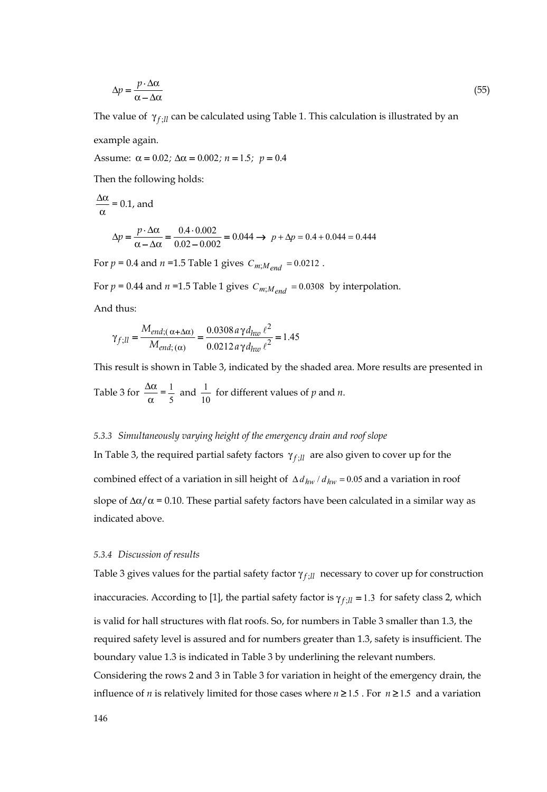$$
\Delta p = \frac{p \cdot \Delta \alpha}{\alpha - \Delta \alpha} \tag{55}
$$

The value of  $\gamma_{f\cdot ll}$  can be calculated using Table 1. This calculation is illustrated by an

example again.

Assume:  $\alpha = 0.02$ ;  $\Delta \alpha = 0.002$ ;  $n = 1.5$ ;  $p = 0.4$ 

Then the following holds:

$$
\frac{\Delta \alpha}{\alpha} = 0.1, \text{ and}
$$
  

$$
\Delta p = \frac{p \cdot \Delta \alpha}{\alpha - \Delta \alpha} = \frac{0.4 \cdot 0.002}{0.02 - 0.002} = 0.044 \rightarrow p + \Delta p = 0.4 + 0.044 = 0.444
$$

For  $p = 0.4$  and  $n = 1.5$  Table 1 gives  $C_{m,M_{end}} = 0.0212$ .

For  $p = 0.44$  and  $n = 1.5$  Table 1 gives  $C_{m,M_{end}} = 0.0308$  by interpolation.

And thus:

$$
\gamma_{f;ll} = \frac{M_{end;( \alpha + \Delta \alpha)}}{M_{end;( \alpha)}} = \frac{0.0308 a \gamma d_{hw} \ell^2}{0.0212 a \gamma d_{hw} \ell^2} = 1.45
$$

This result is shown in Table 3, indicated by the shaded area. More results are presented in Table 3 for  $\frac{\Delta \alpha}{\alpha} = \frac{1}{5}$  and  $\frac{1}{10}$  for different values of *p* and *n*.

#### *5.3.3 Simultaneously varying height of the emergency drain and roof slope*

In Table 3, the required partial safety factors  $γ_{f:ll}$  are also given to cover up for the combined effect of a variation in sill height of  $\Delta d_{hw}$  /  $d_{hw}$  = 0.05 and a variation in roof slope of  $\Delta \alpha / \alpha$  = 0.10. These partial safety factors have been calculated in a similar way as indicated above.

#### *5.3.4 Discussion of results*

Table 3 gives values for the partial safety factor *γ*<sub>f *Il*</sub> necessary to cover up for construction inaccuracies. According to [1], the partial safety factor is  $\gamma_{f,ll} = 1.3$  for safety class 2, which is valid for hall structures with flat roofs. So, for numbers in Table 3 smaller than 1.3, the required safety level is assured and for numbers greater than 1.3, safety is insufficient. The boundary value 1.3 is indicated in Table 3 by underlining the relevant numbers. Considering the rows 2 and 3 in Table 3 for variation in height of the emergency drain, the

influence of *n* is relatively limited for those cases where  $n \ge 1.5$ . For  $n \ge 1.5$  and a variation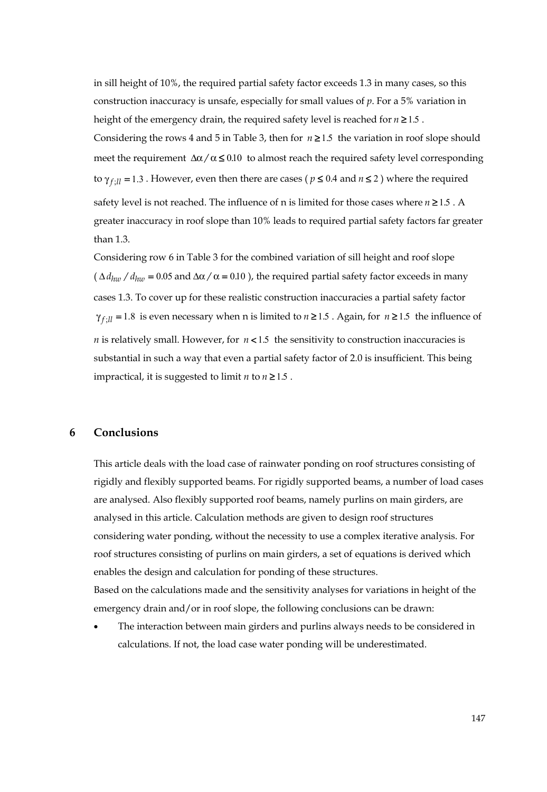in sill height of 10%, the required partial safety factor exceeds 1.3 in many cases, so this construction inaccuracy is unsafe, especially for small values of *p*. For a 5% variation in height of the emergency drain, the required safety level is reached for  $n \ge 1.5$ . Considering the rows 4 and 5 in Table 3, then for  $n \ge 1.5$  the variation in roof slope should meet the requirement  $\Delta \alpha / \alpha \leq 0.10$  to almost reach the required safety level corresponding to  $\gamma_{f \cdot \eta} = 1.3$ . However, even then there are cases ( $p \le 0.4$  and  $n \le 2$ ) where the required safety level is not reached. The influence of n is limited for those cases where  $n \ge 1.5$ . A greater inaccuracy in roof slope than 10% leads to required partial safety factors far greater than 1.3.

Considering row 6 in Table 3 for the combined variation of sill height and roof slope  $(\Delta d_{huv} / d_{huv} = 0.05$  and  $\Delta \alpha / \alpha = 0.10$  ), the required partial safety factor exceeds in many cases 1.3. To cover up for these realistic construction inaccuracies a partial safety factor  $\gamma_{f:\mathcal{U}} = 1.8$  is even necessary when n is limited to *n* ≥ 1.5 . Again, for *n* ≥ 1.5 the influence of *n* is relatively small. However, for  $n < 1.5$  the sensitivity to construction inaccuracies is substantial in such a way that even a partial safety factor of 2.0 is insufficient. This being impractical, it is suggested to limit  $n \times 1.5$ .

# **6 Conclusions**

This article deals with the load case of rainwater ponding on roof structures consisting of rigidly and flexibly supported beams. For rigidly supported beams, a number of load cases are analysed. Also flexibly supported roof beams, namely purlins on main girders, are analysed in this article. Calculation methods are given to design roof structures considering water ponding, without the necessity to use a complex iterative analysis. For roof structures consisting of purlins on main girders, a set of equations is derived which enables the design and calculation for ponding of these structures. Based on the calculations made and the sensitivity analyses for variations in height of the emergency drain and/or in roof slope, the following conclusions can be drawn:

The interaction between main girders and purlins always needs to be considered in calculations. If not, the load case water ponding will be underestimated.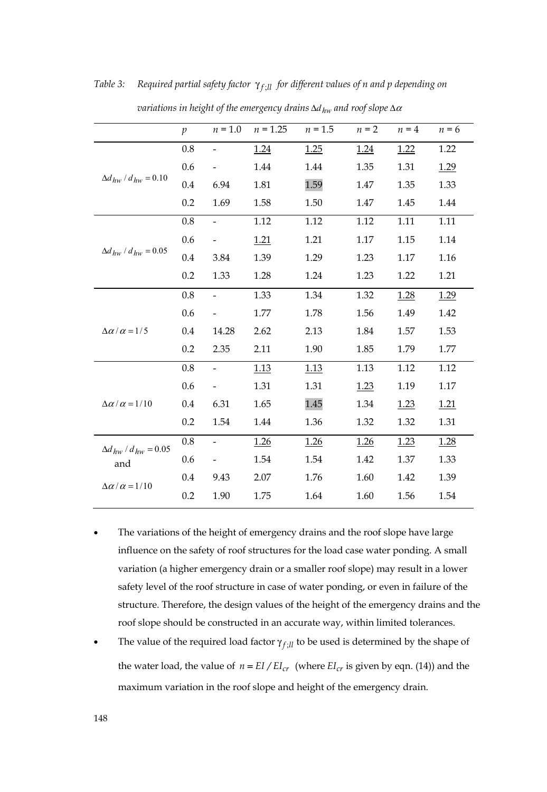|                                   | $\mathfrak{p}$ | $n = 1.0$ | $n = 1.25$ | $n = 1.5$ | $n = 2$ | $n = 4$ | $n = 6$     |
|-----------------------------------|----------------|-----------|------------|-----------|---------|---------|-------------|
|                                   | 0.8            |           | 1.24       | 1.25      | 1.24    | 1.22    | 1.22        |
|                                   | 0.6            |           | 1.44       | 1.44      | 1.35    | 1.31    | 1.29        |
| $\Delta d_{hw}$ / $d_{hw}$ = 0.10 | 0.4            | 6.94      | 1.81       | 1.59      | 1.47    | 1.35    | 1.33        |
|                                   | 0.2            | 1.69      | 1.58       | 1.50      | 1.47    | 1.45    | 1.44        |
|                                   | 0.8            |           | 1.12       | 1.12      | 1.12    | 1.11    | 1.11        |
|                                   | 0.6            |           | 1.21       | 1.21      | 1.17    | 1.15    | 1.14        |
| $\Delta d_{hw}$ / $d_{hw}$ = 0.05 | 0.4            | 3.84      | 1.39       | 1.29      | 1.23    | 1.17    | 1.16        |
|                                   | 0.2            | 1.33      | 1.28       | 1.24      | 1.23    | 1.22    | 1.21        |
|                                   | 0.8            | -         | 1.33       | 1.34      | 1.32    | 1.28    | 1.29        |
|                                   | 0.6            |           | 1.77       | 1.78      | 1.56    | 1.49    | 1.42        |
| $\Delta \alpha / \alpha = 1/5$    | 0.4            | 14.28     | 2.62       | 2.13      | 1.84    | 1.57    | 1.53        |
|                                   | 0.2            | 2.35      | 2.11       | 1.90      | 1.85    | 1.79    | 1.77        |
|                                   | 0.8            |           | 1.13       | 1.13      | 1.13    | 1.12    | 1.12        |
|                                   | 0.6            |           | 1.31       | 1.31      | 1.23    | 1.19    | 1.17        |
| $\Delta \alpha / \alpha = 1/10$   | 0.4            | 6.31      | 1.65       | 1.45      | 1.34    | 1.23    | <u>1.21</u> |
|                                   | 0.2            | 1.54      | 1.44       | 1.36      | 1.32    | 1.32    | 1.31        |
| $\Delta d_{hw}$ / $d_{hw}$ = 0.05 | 0.8            |           | 1.26       | 1.26      | 1.26    | 1.23    | 1.28        |
| and                               | 0.6            |           | 1.54       | 1.54      | 1.42    | 1.37    | 1.33        |
| $\Delta \alpha / \alpha = 1/10$   | 0.4            | 9.43      | 2.07       | 1.76      | 1.60    | 1.42    | 1.39        |
|                                   | 0.2            | 1.90      | 1.75       | 1.64      | 1.60    | 1.56    | 1.54        |

*Table 3:* Required partial safety factor γ<sub>f</sub> *il for different values of n and p depending on* 

 *variations in height of the emergency drains* Δ*dhw and roof slope* Δ<sup>α</sup>

- The variations of the height of emergency drains and the roof slope have large influence on the safety of roof structures for the load case water ponding. A small variation (a higher emergency drain or a smaller roof slope) may result in a lower safety level of the roof structure in case of water ponding, or even in failure of the structure. Therefore, the design values of the height of the emergency drains and the roof slope should be constructed in an accurate way, within limited tolerances.
- The value of the required load factor  $\gamma_{f,ll}$  to be used is determined by the shape of the water load, the value of  $n = EI/EI_{cr}$  (where  $EI_{cr}$  is given by eqn. (14)) and the maximum variation in the roof slope and height of the emergency drain.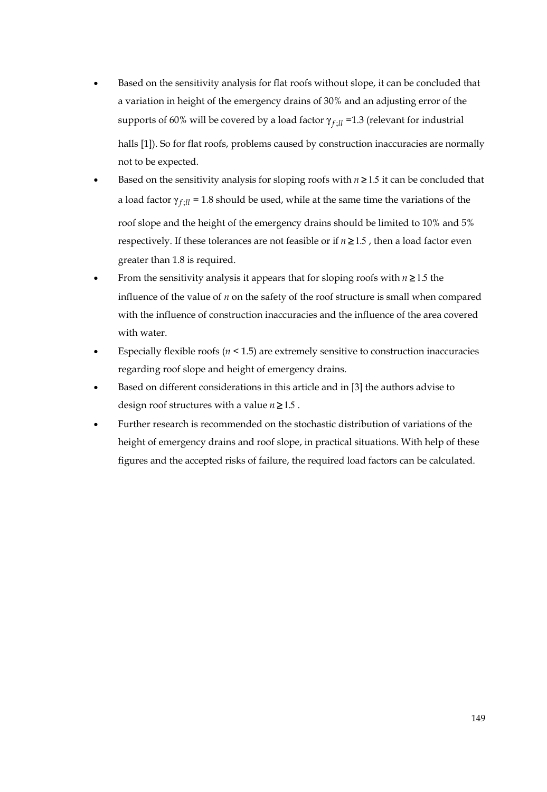- Based on the sensitivity analysis for flat roofs without slope, it can be concluded that a variation in height of the emergency drains of 30% and an adjusting error of the supports of 60% will be covered by a load factor  $\gamma_{f\text{-}ll}$  =1.3 (relevant for industrial halls [1]). So for flat roofs, problems caused by construction inaccuracies are normally not to be expected.
- Based on the sensitivity analysis for sloping roofs with  $n \ge 1.5$  it can be concluded that a load factor  $\gamma_{f\text{-}l\bar{l}}$  = 1.8 should be used, while at the same time the variations of the roof slope and the height of the emergency drains should be limited to 10% and 5% respectively. If these tolerances are not feasible or if  $n \ge 1.5$ , then a load factor even greater than 1.8 is required.
- From the sensitivity analysis it appears that for sloping roofs with  $n \geq 1.5$  the influence of the value of *n* on the safety of the roof structure is small when compared with the influence of construction inaccuracies and the influence of the area covered with water.
- Especially flexible roofs (*n* < 1.5) are extremely sensitive to construction inaccuracies regarding roof slope and height of emergency drains.
- Based on different considerations in this article and in [3] the authors advise to design roof structures with a value  $n \ge 1.5$ .
- Further research is recommended on the stochastic distribution of variations of the height of emergency drains and roof slope, in practical situations. With help of these figures and the accepted risks of failure, the required load factors can be calculated.